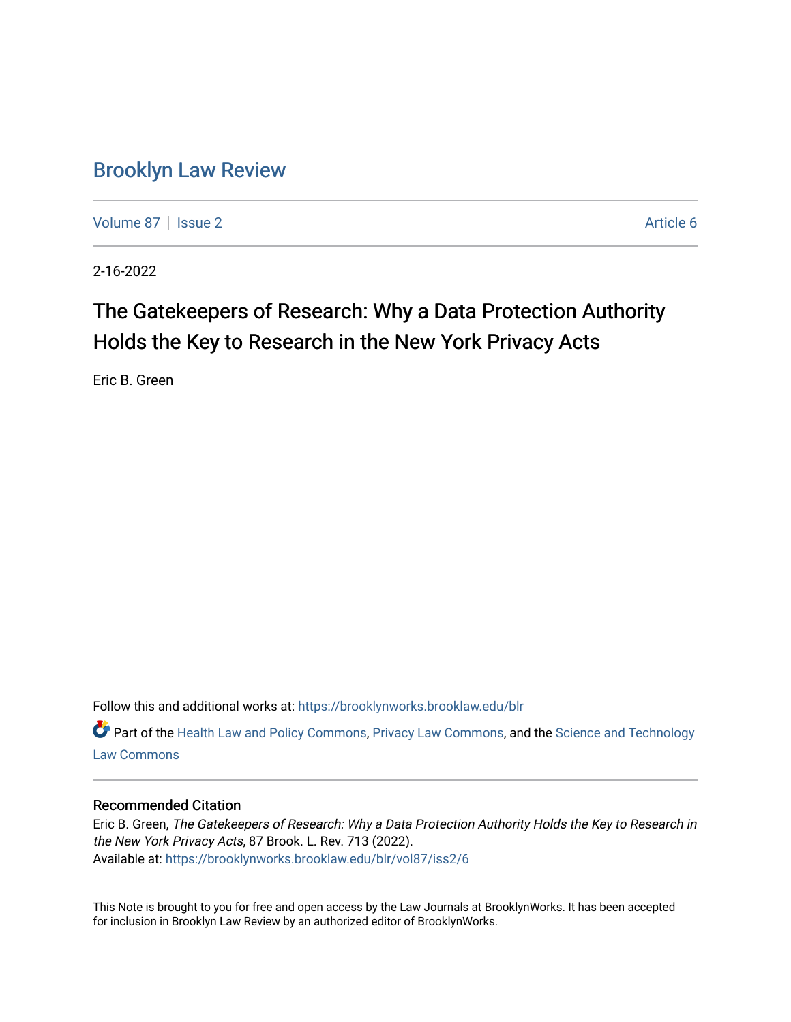# [Brooklyn Law Review](https://brooklynworks.brooklaw.edu/blr)

[Volume 87](https://brooklynworks.brooklaw.edu/blr/vol87) | [Issue 2](https://brooklynworks.brooklaw.edu/blr/vol87/iss2) Article 6

2-16-2022

# The Gatekeepers of Research: Why a Data Protection Authority Holds the Key to Research in the New York Privacy Acts

Eric B. Green

Follow this and additional works at: [https://brooklynworks.brooklaw.edu/blr](https://brooklynworks.brooklaw.edu/blr?utm_source=brooklynworks.brooklaw.edu%2Fblr%2Fvol87%2Fiss2%2F6&utm_medium=PDF&utm_campaign=PDFCoverPages) 

Part of the [Health Law and Policy Commons](http://network.bepress.com/hgg/discipline/901?utm_source=brooklynworks.brooklaw.edu%2Fblr%2Fvol87%2Fiss2%2F6&utm_medium=PDF&utm_campaign=PDFCoverPages), [Privacy Law Commons](http://network.bepress.com/hgg/discipline/1234?utm_source=brooklynworks.brooklaw.edu%2Fblr%2Fvol87%2Fiss2%2F6&utm_medium=PDF&utm_campaign=PDFCoverPages), and the [Science and Technology](http://network.bepress.com/hgg/discipline/875?utm_source=brooklynworks.brooklaw.edu%2Fblr%2Fvol87%2Fiss2%2F6&utm_medium=PDF&utm_campaign=PDFCoverPages)  [Law Commons](http://network.bepress.com/hgg/discipline/875?utm_source=brooklynworks.brooklaw.edu%2Fblr%2Fvol87%2Fiss2%2F6&utm_medium=PDF&utm_campaign=PDFCoverPages) 

## Recommended Citation

Eric B. Green, The Gatekeepers of Research: Why a Data Protection Authority Holds the Key to Research in the New York Privacy Acts, 87 Brook. L. Rev. 713 (2022). Available at: [https://brooklynworks.brooklaw.edu/blr/vol87/iss2/6](https://brooklynworks.brooklaw.edu/blr/vol87/iss2/6?utm_source=brooklynworks.brooklaw.edu%2Fblr%2Fvol87%2Fiss2%2F6&utm_medium=PDF&utm_campaign=PDFCoverPages)

This Note is brought to you for free and open access by the Law Journals at BrooklynWorks. It has been accepted for inclusion in Brooklyn Law Review by an authorized editor of BrooklynWorks.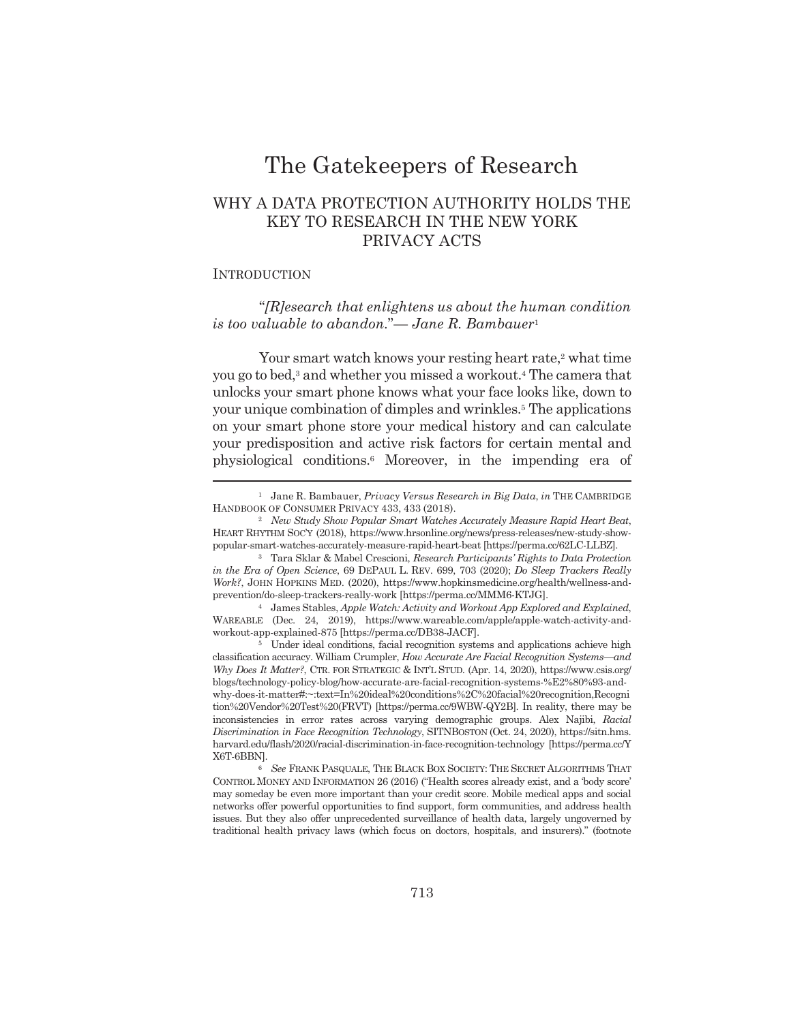# The Gatekeepers of Research

## WHY A DATA PROTECTION AUTHORITY HOLDS THE **KEY TO RESEARCH IN THE NEW YORK** PRIVACY ACTS

### **INTRODUCTION**

" $[R]$ esearch that enlightens us about the human condition" is too valuable to abandon." $\_\$  Jane R. Bambauer<sup>1</sup>

Your smart watch knows your resting heart rate,<sup>2</sup> what time you go to bed,<sup>3</sup> and whether you missed a workout.<sup>4</sup> The camera that unlocks your smart phone knows what your face looks like, down to your unique combination of dimples and wrinkles.<sup>5</sup> The applications on your smart phone store your medical history and can calculate your predisposition and active risk factors for certain mental and physiological conditions.<sup>6</sup> Moreover, in the impending era of

<sup>&</sup>lt;sup>1</sup> Jane R. Bambauer, Privacy Versus Research in Big Data, in THE CAMBRIDGE HANDBOOK OF CONSUMER PRIVACY 433, 433 (2018).

<sup>&</sup>lt;sup>2</sup> New Study Show Popular Smart Watches Accurately Measure Rapid Heart Beat, HEART RHYTHM SOC'Y (2018), https://www.hrsonline.org/news/press-releases/new-study-showpopular-smart-watches-accurately-measure-rapid-heart-beat [https://perma.cc/62LC-LLBZ].

<sup>&</sup>lt;sup>3</sup> Tara Sklar & Mabel Crescioni, Research Participants' Rights to Data Protection in the Era of Open Science, 69 DEPAUL L. REV. 699, 703 (2020); Do Sleep Trackers Really Work?, JOHN HOPKINS MED. (2020), https://www.hopkinsmedicine.org/health/wellness-andprevention/do-sleep-trackers-really-work [https://perma.cc/MMM6-KTJG].

<sup>&</sup>lt;sup>4</sup> James Stables, Apple Watch: Activity and Workout App Explored and Explained, WAREABLE (Dec. 24, 2019), https://www.wareable.com/apple/apple-watch-activity-andworkout-app-explained-875 [https://perma.cc/DB38-JACF].

<sup>&</sup>lt;sup>5</sup> Under ideal conditions, facial recognition systems and applications achieve high classification accuracy. William Crumpler, How Accurate Are Facial Recognition Systems-and Why Does It Matter?, CTR. FOR STRATEGIC & INT'L STUD. (Apr. 14, 2020), https://www.csis.org/ blogs/technology-policy-blog/how-accurate-are-facial-recognition-systems-%E2%80%93-andwhy-does-it-matter#:~:text=In%20ideal%20conditions%2C%20facial%20recognition.Recogni tion%20Vendor%20Test%20(FRVT) [https://perma.cc/9WBW-QY2B]. In reality, there may be inconsistencies in error rates across varying demographic groups. Alex Najibi, Racial Discrimination in Face Recognition Technology, SITNBOSTON (Oct. 24, 2020), https://sitn.hms. harvard.edu/flash/2020/racial-discrimination-in-face-recognition-technology [https://perma.cc/Y X6T-6BBN].

<sup>&</sup>lt;sup>6</sup> See FRANK PASQUALE, THE BLACK BOX SOCIETY: THE SECRET ALGORITHMS THAT CONTROL MONEY AND INFORMATION 26 (2016) ("Health scores already exist, and a 'body score' may someday be even more important than your credit score. Mobile medical apps and social networks offer powerful opportunities to find support, form communities, and address health issues. But they also offer unprecedented surveillance of health data, largely ungoverned by traditional health privacy laws (which focus on doctors, hospitals, and insurers)." (footnote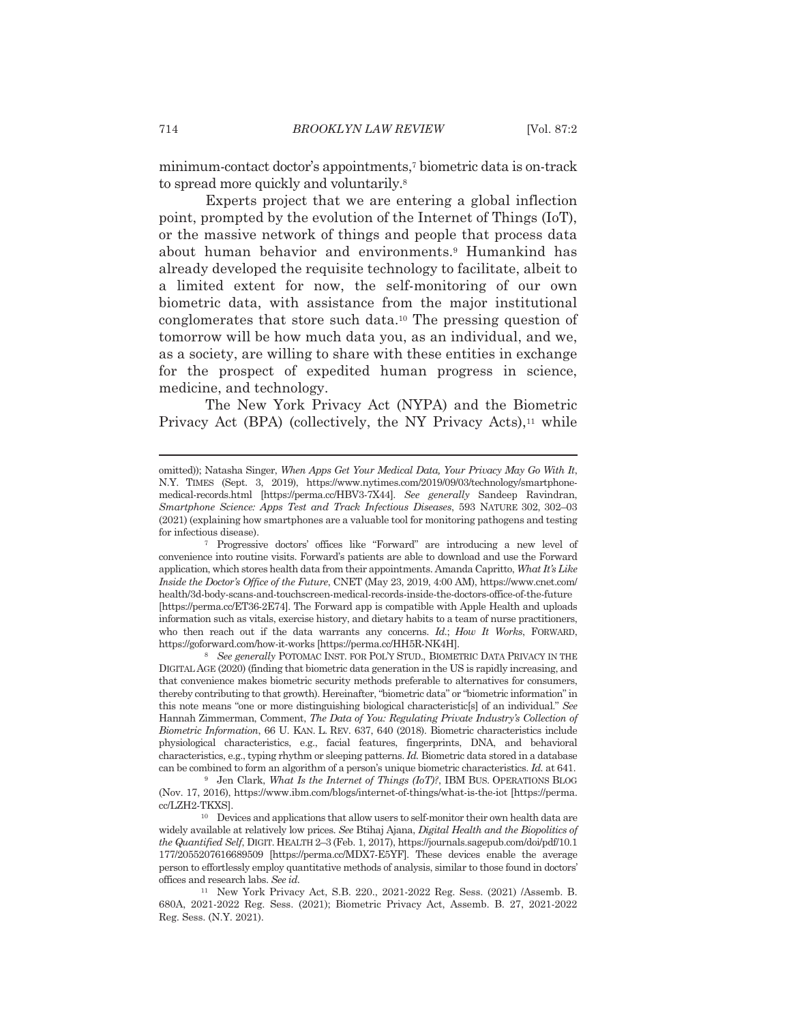minimum-contact doctor's appointments,<sup>7</sup> biometric data is on-track to spread more quickly and voluntarily.<sup>8</sup>

Experts project that we are entering a global inflection point, prompted by the evolution of the Internet of Things (IoT), or the massive network of things and people that process data about human behavior and environments.<sup>9</sup> Humankind has already developed the requisite technology to facilitate, albeit to a limited extent for now, the self-monitoring of our own biometric data, with assistance from the major institutional conglomerates that store such data.<sup>10</sup> The pressing question of tomorrow will be how much data you, as an individual, and we, as a society, are willing to share with these entities in exchange for the prospect of expedited human progress in science, medicine, and technology.

The New York Privacy Act (NYPA) and the Biometric Privacy Act (BPA) (collectively, the NY Privacy Acts),<sup>11</sup> while

omitted)); Natasha Singer, When Apps Get Your Medical Data, Your Privacy May Go With It, N.Y. TIMES (Sept. 3, 2019), https://www.nytimes.com/2019/09/03/technology/smartphonemedical-records.html [https://perma.cc/HBV3-7X44]. See generally Sandeep Ravindran, Smartphone Science: Apps Test and Track Infectious Diseases, 593 NATURE 302, 302-03 (2021) (explaining how smartphones are a valuable tool for monitoring pathogens and testing for infectious disease).

<sup>&</sup>lt;sup>7</sup> Progressive doctors' offices like "Forward" are introducing a new level of convenience into routine visits. Forward's patients are able to download and use the Forward application, which stores health data from their appointments. Amanda Capritto, What It's Like Inside the Doctor's Office of the Future, CNET (May 23, 2019, 4:00 AM), https://www.cnet.com/ health/3d-body-scans-and-touchscreen-medical-records-inside-the-doctors-office-of-the-future [https://perma.cc/ET36-2E74]. The Forward app is compatible with Apple Health and uploads information such as vitals, exercise history, and dietary habits to a team of nurse practitioners, who then reach out if the data warrants any concerns. Id.; How It Works, FORWARD, https://goforward.com/how-it-works [https://perma.cc/HH5R-NK4H].

<sup>&</sup>lt;sup>8</sup> See generally POTOMAC INST. FOR POL'Y STUD., BIOMETRIC DATA PRIVACY IN THE DIGITAL AGE (2020) (finding that biometric data generation in the US is rapidly increasing, and that convenience makes biometric security methods preferable to alternatives for consumers, thereby contributing to that growth). Hereinafter, "biometric data" or "biometric information" in this note means "one or more distinguishing biological characteristic<sup>[5]</sup> of an individual." See Hannah Zimmerman, Comment, The Data of You: Regulating Private Industry's Collection of Biometric Information, 66 U. KAN. L. REV. 637, 640 (2018). Biometric characteristics include physiological characteristics, e.g., facial features, fingerprints, DNA, and behavioral characteristics, e.g., typing rhythm or sleeping patterns. Id. Biometric data stored in a database can be combined to form an algorithm of a person's unique biometric characteristics. Id. at 641.

<sup>&</sup>lt;sup>9</sup> Jen Clark, What Is the Internet of Things (IoT)?, IBM BUS. OPERATIONS BLOG (Nov. 17, 2016), https://www.ibm.com/blogs/internet-of-things/what-is-the-iot [https://perma. cc/LZH2-TKXS].

<sup>&</sup>lt;sup>10</sup> Devices and applications that allow users to self-monitor their own health data are widely available at relatively low prices. See Btihaj Ajana, Digital Health and the Biopolitics of the Quantified Self, DIGIT. HEALTH 2-3 (Feb. 1, 2017), https://journals.sagepub.com/doi/pdf/10.1 177/2055207616689509 [https://perma.cc/MDX7-E5YF]. These devices enable the average person to effortlessly employ quantitative methods of analysis, similar to those found in doctors' offices and research labs. See id.

<sup>&</sup>lt;sup>11</sup> New York Privacy Act, S.B. 220., 2021-2022 Reg. Sess. (2021) /Assemb. B. 680A, 2021-2022 Reg. Sess. (2021); Biometric Privacy Act, Assemb. B. 27, 2021-2022 Reg. Sess. (N.Y. 2021).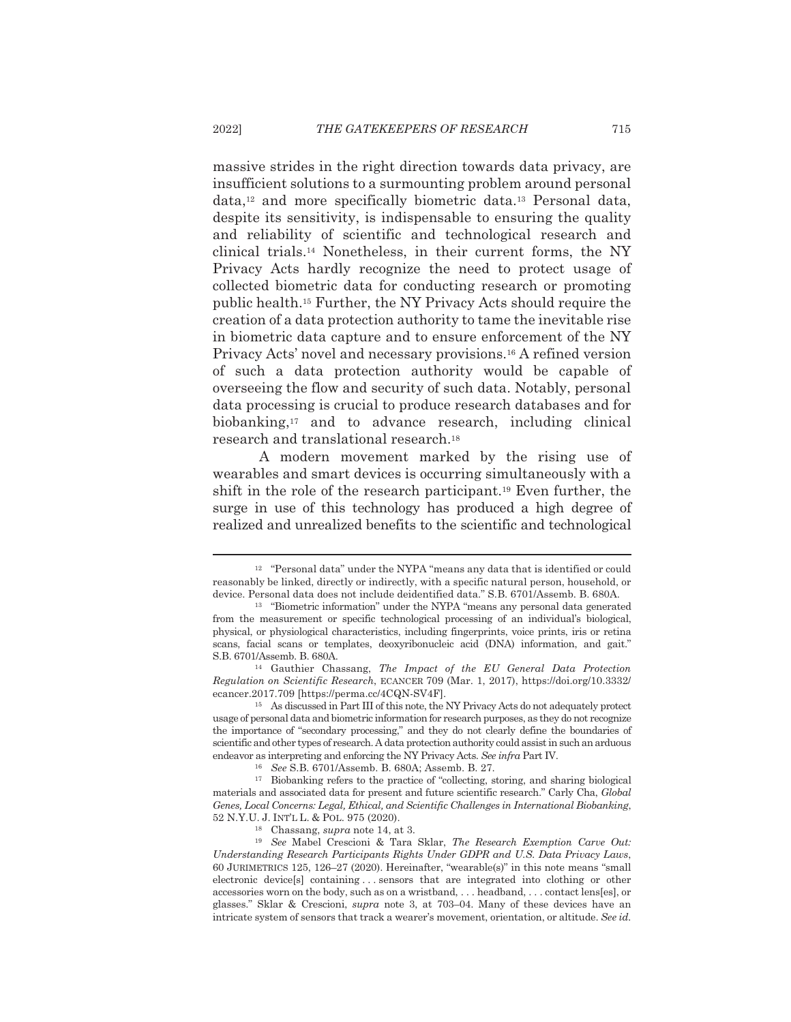massive strides in the right direction towards data privacy, are insufficient solutions to a surmounting problem around personal data,<sup>12</sup> and more specifically biometric data.<sup>13</sup> Personal data, despite its sensitivity, is indispensable to ensuring the quality and reliability of scientific and technological research and clinical trials.<sup>14</sup> Nonetheless, in their current forms, the NY Privacy Acts hardly recognize the need to protect usage of collected biometric data for conducting research or promoting public health.<sup>15</sup> Further, the NY Privacy Acts should require the creation of a data protection authority to tame the inevitable rise in biometric data capture and to ensure enforcement of the NY Privacy Acts' novel and necessary provisions.<sup>16</sup> A refined version of such a data protection authority would be capable of overseeing the flow and security of such data. Notably, personal data processing is crucial to produce research databases and for biobanking,<sup>17</sup> and to advance research, including clinical research and translational research.<sup>18</sup>

A modern movement marked by the rising use of wearables and smart devices is occurring simultaneously with a shift in the role of the research participant.<sup>19</sup> Even further, the surge in use of this technology has produced a high degree of realized and unrealized benefits to the scientific and technological

<sup>&</sup>lt;sup>12</sup> "Personal data" under the NYPA "means any data that is identified or could reasonably be linked, directly or indirectly, with a specific natural person, household, or device. Personal data does not include deidentified data." S.B. 6701/Assemb. B. 680A.

<sup>&</sup>lt;sup>13</sup> "Biometric information" under the NYPA "means any personal data generated from the measurement or specific technological processing of an individual's biological, physical, or physiological characteristics, including fingerprints, voice prints, iris or retina scans, facial scans or templates, deoxyribonucleic acid (DNA) information, and gait." S.B. 6701/Assemb. B. 680A.

<sup>&</sup>lt;sup>14</sup> Gauthier Chassang, *The Impact of the EU General Data Protection* Regulation on Scientific Research, ECANCER 709 (Mar. 1, 2017), https://doi.org/10.3332/ ecancer.2017.709 [https://perma.cc/4CQN-SV4F].

<sup>&</sup>lt;sup>15</sup> As discussed in Part III of this note, the NY Privacy Acts do not adequately protect usage of personal data and biometric information for research purposes, as they do not recognize the importance of "secondary processing," and they do not clearly define the boundaries of scientific and other types of research. A data protection authority could assist in such an arduous endeavor as interpreting and enforcing the NY Privacy Acts. See infra Part IV.

<sup>&</sup>lt;sup>16</sup> See S.B. 6701/Assemb. B. 680A; Assemb. B. 27.

<sup>&</sup>lt;sup>17</sup> Biobanking refers to the practice of "collecting, storing, and sharing biological materials and associated data for present and future scientific research." Carly Cha, Global Genes, Local Concerns: Legal, Ethical, and Scientific Challenges in International Biobanking, 52 N.Y.U. J. INT'L L. & POL. 975 (2020).

<sup>&</sup>lt;sup>18</sup> Chassang, *supra* note 14, at 3.

<sup>&</sup>lt;sup>19</sup> See Mabel Crescioni & Tara Sklar, *The Research Exemption Carve Out*: Understanding Research Participants Rights Under GDPR and U.S. Data Privacy Laws, 60 JURIMETRICS 125, 126-27 (2020). Hereinafter, "wearable(s)" in this note means "small electronic device[s] containing...sensors that are integrated into clothing or other accessories worn on the body, such as on a wristband, ... headband, ... contact lens[es], or glasses." Sklar & Crescioni, supra note 3, at 703-04. Many of these devices have an intricate system of sensors that track a wearer's movement, orientation, or altitude. See id.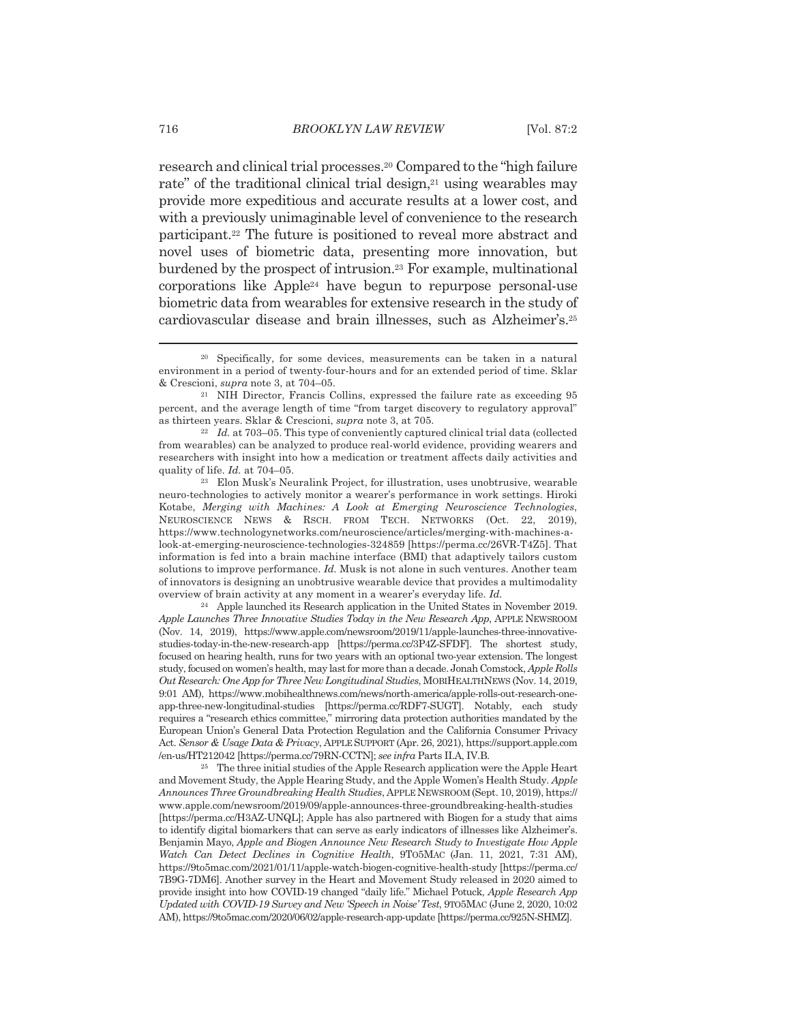research and clinical trial processes.<sup>20</sup> Compared to the "high failure" rate" of the traditional clinical trial design,<sup>21</sup> using wearables may provide more expeditious and accurate results at a lower cost, and with a previously unimaginable level of convenience to the research participant.<sup>22</sup> The future is positioned to reveal more abstract and novel uses of biometric data, presenting more innovation, but burdened by the prospect of intrusion.<sup>23</sup> For example, multinational corporations like Apple<sup>24</sup> have begun to repurpose personal-use biometric data from wearables for extensive research in the study of cardiovascular disease and brain illnesses, such as Alzheimer's.<sup>25</sup>

<sup>&</sup>lt;sup>20</sup> Specifically, for some devices, measurements can be taken in a natural environment in a period of twenty-four-hours and for an extended period of time. Sklar & Crescioni, *supra* note 3, at 704–05.

<sup>&</sup>lt;sup>21</sup> NIH Director, Francis Collins, expressed the failure rate as exceeding 95 percent, and the average length of time "from target discovery to regulatory approval" as thirteen years. Sklar & Crescioni, supra note 3, at 705.

 $22$  *Id.* at 703–05. This type of conveniently captured clinical trial data (collected from wearables) can be analyzed to produce real-world evidence, providing wearers and researchers with insight into how a medication or treatment affects daily activities and quality of life. Id. at 704-05.

<sup>&</sup>lt;sup>23</sup> Elon Musk's Neuralink Project, for illustration, uses unobtrusive, wearable neuro-technologies to actively monitor a wearer's performance in work settings. Hiroki Kotabe, Merging with Machines: A Look at Emerging Neuroscience Technologies, NEUROSCIENCE NEWS & RSCH. FROM TECH. NETWORKS (Oct. 22, 2019), https://www.technologynetworks.com/neuroscience/articles/merging-with-machines-alook-at-emerging-neuroscience-technologies-324859 [https://perma.cc/26VR-T4Z5]. That information is fed into a brain machine interface (BMI) that adaptively tailors custom solutions to improve performance. Id. Musk is not alone in such ventures. Another team of innovators is designing an unobtrusive wearable device that provides a multimodality overview of brain activity at any moment in a wearer's everyday life. Id.

<sup>&</sup>lt;sup>24</sup> Apple launched its Research application in the United States in November 2019. Apple Launches Three Innovative Studies Today in the New Research App, APPLE NEWSROOM (Nov. 14, 2019), https://www.apple.com/newsroom/2019/11/apple-launches-three-innovativestudies-today-in-the-new-research-app [https://perma.cc/3P4Z-SFDF]. The shortest study, focused on hearing health, runs for two years with an optional two-year extension. The longest study, focused on women's health, may last for more than a decade. Jonah Comstock, Apple Rolls Out Research: One App for Three New Longitudinal Studies, MOBIHEALTHNEWS (Nov. 14, 2019, 9:01 AM), https://www.mobihealthnews.com/news/north-america/apple-rolls-out-research-oneapp-three-new-longitudinal-studies [https://perma.cc/RDF7-SUGT]. Notably, each study requires a "research ethics committee," mirroring data protection authorities mandated by the European Union's General Data Protection Regulation and the California Consumer Privacy Act. Sensor & Usage Data & Privacy, APPLE SUPPORT (Apr. 26, 2021), https://support.apple.com /en-us/HT212042 [https://perma.cc/79RN-CCTN]; see infra Parts II.A, IV.B.

<sup>&</sup>lt;sup>25</sup> The three initial studies of the Apple Research application were the Apple Heart and Movement Study, the Apple Hearing Study, and the Apple Women's Health Study. Apple Announces Three Groundbreaking Health Studies, APPLE NEWSROOM (Sept. 10, 2019), https:// www.apple.com/newsroom/2019/09/apple-announces-three-groundbreaking-health-studies [https://perma.cc/H3AZ-UNQL]; Apple has also partnered with Biogen for a study that aims to identify digital biomarkers that can serve as early indicators of illnesses like Alzheimer's. Benjamin Mayo, Apple and Biogen Announce New Research Study to Investigate How Apple Watch Can Detect Declines in Cognitive Health, 9T05MAC (Jan. 11, 2021, 7:31 AM), https://9to5mac.com/2021/01/11/apple-watch-biogen-cognitive-health-study [https://perma.cc/ 7B9G-7DM6]. Another survey in the Heart and Movement Study released in 2020 aimed to provide insight into how COVID-19 changed "daily life." Michael Potuck, Apple Research App Updated with COVID-19 Survey and New 'Speech in Noise' Test, 9T05MAC (June 2, 2020, 10:02) AM), https://9to5mac.com/2020/06/02/apple-research-app-update [https://perma.cc/925N-SHMZ].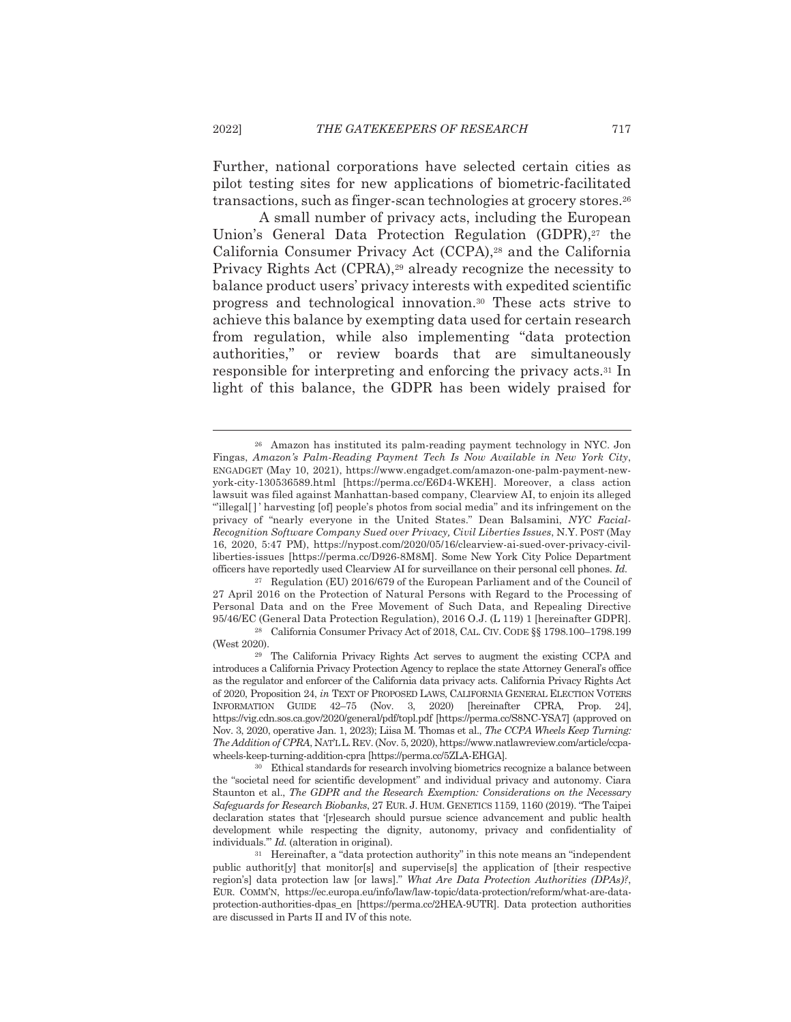Further, national corporations have selected certain cities as pilot testing sites for new applications of biometric-facilitated transactions, such as finger-scan technologies at grocery stores.<sup>26</sup>

A small number of privacy acts, including the European Union's General Data Protection Regulation (GDPR),<sup>27</sup> the California Consumer Privacy Act (CCPA),<sup>28</sup> and the California Privacy Rights Act (CPRA),<sup>29</sup> already recognize the necessity to balance product users' privacy interests with expedited scientific progress and technological innovation.<sup>30</sup> These acts strive to achieve this balance by exempting data used for certain research from regulation, while also implementing "data protection" authorities," or review boards that are simultaneously responsible for interpreting and enforcing the privacy acts.<sup>31</sup> In light of this balance, the GDPR has been widely praised for

<sup>27</sup> Regulation (EU) 2016/679 of the European Parliament and of the Council of 27 April 2016 on the Protection of Natural Persons with Regard to the Processing of Personal Data and on the Free Movement of Such Data, and Repealing Directive 95/46/EC (General Data Protection Regulation), 2016 O.J. (L 119) 1 [hereinafter GDPR].

<sup>&</sup>lt;sup>26</sup> Amazon has instituted its palm-reading payment technology in NYC. Jon Fingas, Amazon's Palm-Reading Payment Tech Is Now Available in New York City, ENGADGET (May 10, 2021), https://www.engadget.com/amazon-one-palm-payment-newyork-city-130536589.html [https://perma.cc/E6D4-WKEH]. Moreover, a class action lawsuit was filed against Manhattan-based company, Clearview AI, to enjoin its alleged "illegal[]' harvesting [of] people's photos from social media" and its infringement on the privacy of "nearly everyone in the United States." Dean Balsamini, NYC Facial-Recognition Software Company Sued over Privacy, Civil Liberties Issues, N.Y. POST (May 16, 2020, 5:47 PM), https://nypost.com/2020/05/16/clearview-ai-sued-over-privacy-civilliberties-issues [https://perma.cc/D926-8M8M]. Some New York City Police Department officers have reportedly used Clearview AI for surveillance on their personal cell phones. Id.

<sup>&</sup>lt;sup>28</sup> California Consumer Privacy Act of 2018, CAL. CIV. CODE §§ 1798.100-1798.199 (West 2020).

<sup>&</sup>lt;sup>29</sup> The California Privacy Rights Act serves to augment the existing CCPA and introduces a California Privacy Protection Agency to replace the state Attorney General's office as the regulator and enforcer of the California data privacy acts. California Privacy Rights Act of 2020, Proposition 24, in TEXT OF PROPOSED LAWS, CALIFORNIA GENERAL ELECTION VOTERS INFORMATION GUIDE 42-75 (Nov. 3, 2020) Ihereinafter CPRA, Prop. 241, https://vig.cdn.sos.ca.gov/2020/general/pdf/topl.pdf [https://perma.cc/S8NC-YSA7] (approved on Nov. 3, 2020, operative Jan. 1, 2023); Liisa M. Thomas et al., The CCPA Wheels Keep Turning: The Addition of CPRA, NATL L. REV. (Nov. 5, 2020), https://www.natlawreview.com/article/ccpawheels-keep-turning-addition-cpra [https://perma.cc/5ZLA-EHGA].

<sup>&</sup>lt;sup>30</sup> Ethical standards for research involving biometrics recognize a balance between the "societal need for scientific development" and individual privacy and autonomy. Ciara Staunton et al., The GDPR and the Research Exemption: Considerations on the Necessary Safeguards for Research Biobanks, 27 EUR. J. HUM. GENETICS 1159, 1160 (2019). "The Taipei declaration states that '[r]esearch should pursue science advancement and public health development while respecting the dignity, autonomy, privacy and confidentiality of individuals." *Id.* (alteration in original).

<sup>&</sup>lt;sup>31</sup> Hereinafter, a "data protection authority" in this note means an "independent" public authorit [y] that monitor [s] and supervise [s] the application of [their respective region's] data protection law [or laws]." What Are Data Protection Authorities (DPAs)?, EUR. COMM'N, https://ec.europa.eu/info/law/law-topic/data-protection/reform/what-are-dataprotection-authorities-dpas en [https://perma.cc/2HEA-9UTR]. Data protection authorities are discussed in Parts II and IV of this note.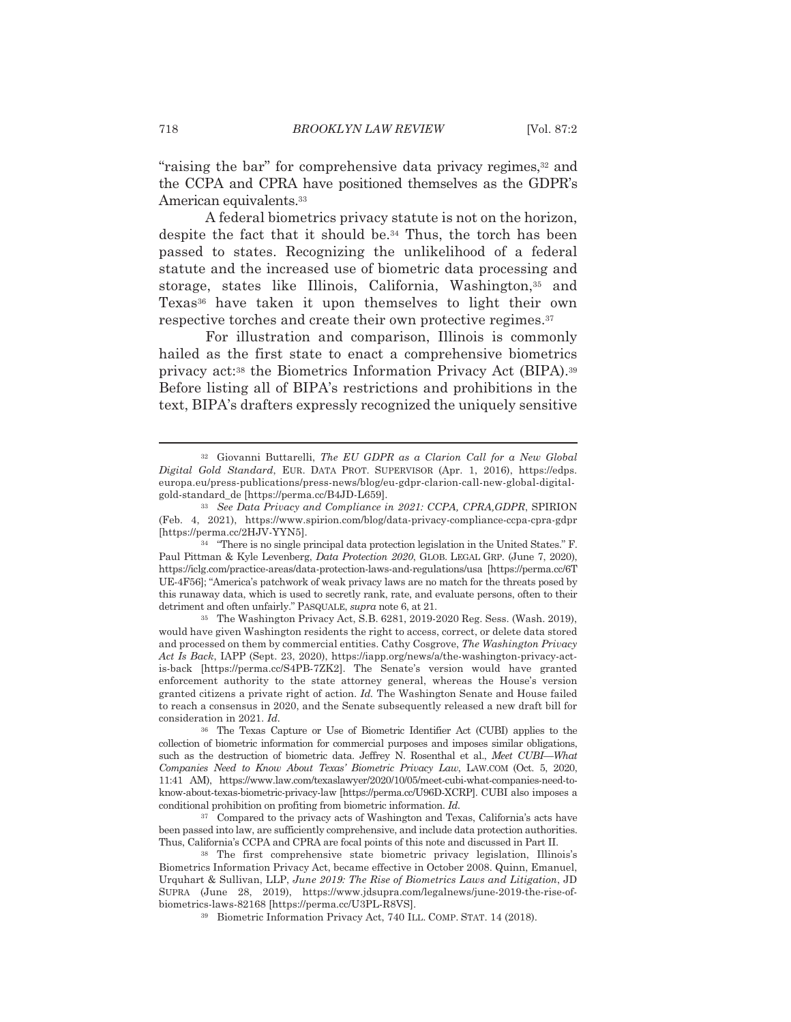"raising the bar" for comprehensive data privacy regimes,<sup>32</sup> and the CCPA and CPRA have positioned themselves as the GDPR's American equivalents.<sup>33</sup>

A federal biometrics privacy statute is not on the horizon, despite the fact that it should be.<sup>34</sup> Thus, the torch has been passed to states. Recognizing the unlikelihood of a federal statute and the increased use of biometric data processing and storage, states like Illinois, California, Washington,<sup>35</sup> and Texas<sup>36</sup> have taken it upon themselves to light their own respective torches and create their own protective regimes.<sup>37</sup>

For illustration and comparison, Illinois is commonly hailed as the first state to enact a comprehensive biometrics privacy act:<sup>38</sup> the Biometrics Information Privacy Act (BIPA).<sup>39</sup> Before listing all of BIPA's restrictions and prohibitions in the text, BIPA's drafters expressly recognized the uniquely sensitive

<sup>32</sup> Giovanni Buttarelli, The EU GDPR as a Clarion Call for a New Global Digital Gold Standard, EUR. DATA PROT. SUPERVISOR (Apr. 1, 2016), https://edps. europa.eu/press-publications/press-news/blog/eu-gdpr-clarion-call-new-global-digitalgold-standard\_de [https://perma.cc/B4JD-L659].

<sup>&</sup>lt;sup>33</sup> See Data Privacy and Compliance in 2021: CCPA, CPRA, GDPR, SPIRION (Feb. 4, 2021), https://www.spirion.com/blog/data-privacy-compliance-ccpa-cpra-gdpr [https://perma.cc/2HJV-YYN5].

<sup>&</sup>lt;sup>34</sup> "There is no single principal data protection legislation in the United States." F. Paul Pittman & Kyle Levenberg, *Data Protection 2020*, GLOB. LEGAL GRP. (June 7, 2020), https://iclg.com/practice-areas/data-protection-laws-and-regulations/usa [https://perma.cc/6T UE-4F56]; "America's patchwork of weak privacy laws are no match for the threats posed by this runaway data, which is used to secretly rank, rate, and evaluate persons, often to their detriment and often unfairly." PASQUALE, *supra* note 6, at 21.

<sup>&</sup>lt;sup>35</sup> The Washington Privacy Act, S.B. 6281, 2019-2020 Reg. Sess. (Wash. 2019), would have given Washington residents the right to access, correct, or delete data stored and processed on them by commercial entities. Cathy Cosgrove, The Washington Privacy Act Is Back, IAPP (Sept. 23, 2020), https://iapp.org/news/a/the-washington-privacy-actis-back [https://perma.cc/S4PB-7ZK2]. The Senate's version would have granted enforcement authority to the state attorney general, whereas the House's version granted citizens a private right of action. Id. The Washington Senate and House failed to reach a consensus in 2020, and the Senate subsequently released a new draft bill for consideration in 2021. Id.

<sup>36</sup> The Texas Capture or Use of Biometric Identifier Act (CUBI) applies to the collection of biometric information for commercial purposes and imposes similar obligations, such as the destruction of biometric data. Jeffrey N. Rosenthal et al., Meet CUBI-What Companies Need to Know About Texas' Biometric Privacy Law, LAW.COM (Oct. 5, 2020, 11:41 AM), https://www.law.com/texaslawyer/2020/10/05/meet-cubi-what-companies-need-toknow-about-texas-biometric-privacy-law [https://perma.cc/U96D-XCRP]. CUBI also imposes a conditional prohibition on profiting from biometric information. Id.

<sup>&</sup>lt;sup>37</sup> Compared to the privacy acts of Washington and Texas, California's acts have been passed into law, are sufficiently comprehensive, and include data protection authorities. Thus, California's CCPA and CPRA are focal points of this note and discussed in Part II.

<sup>&</sup>lt;sup>38</sup> The first comprehensive state biometric privacy legislation, Illinois's Biometrics Information Privacy Act, became effective in October 2008. Quinn, Emanuel, Urquhart & Sullivan, LLP, June 2019: The Rise of Biometrics Laws and Litigation, JD SUPRA (June 28, 2019), https://www.jdsupra.com/legalnews/june-2019-the-rise-ofbiometrics-laws-82168 [https://perma.cc/U3PL-R8VS].

<sup>&</sup>lt;sup>39</sup> Biometric Information Privacy Act, 740 ILL. COMP. STAT. 14 (2018).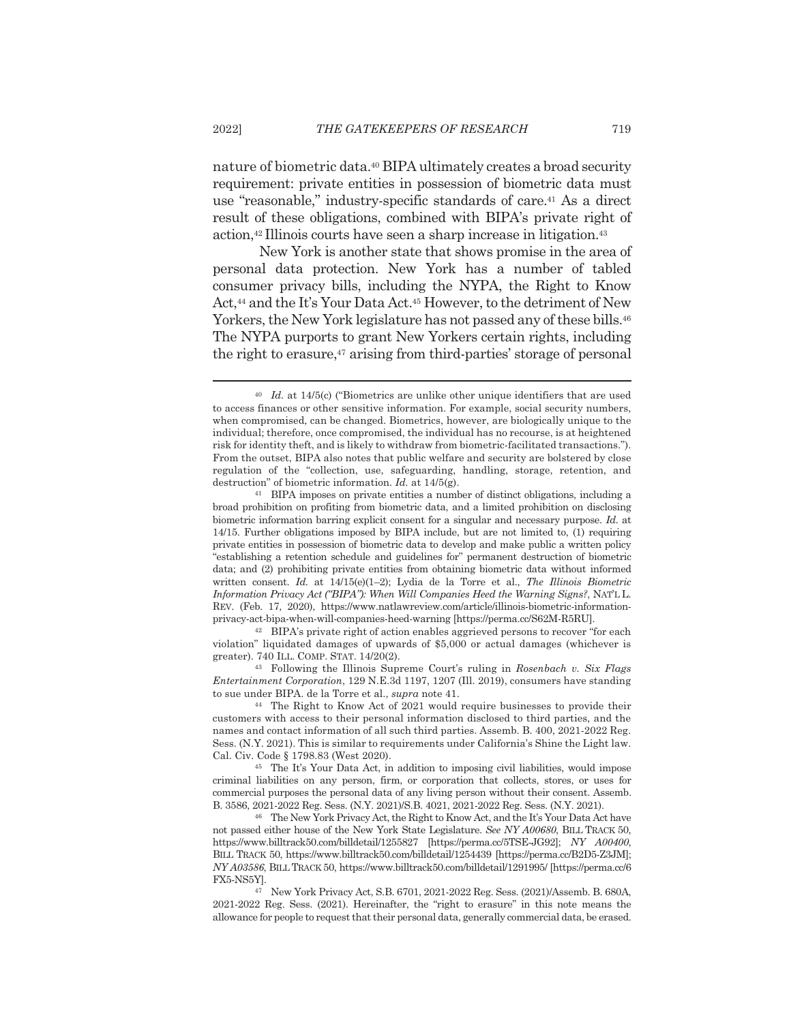nature of biometric data.<sup>40</sup> BIPA ultimately creates a broad security requirement: private entities in possession of biometric data must use "reasonable," industry-specific standards of care.<sup>41</sup> As a direct result of these obligations, combined with BIPA's private right of action,<sup>42</sup> Illinois courts have seen a sharp increase in litigation.<sup>43</sup>

New York is another state that shows promise in the area of personal data protection. New York has a number of tabled consumer privacy bills, including the NYPA, the Right to Know Act,<sup>44</sup> and the It's Your Data Act.<sup>45</sup> However, to the detriment of New Yorkers, the New York legislature has not passed any of these bills.<sup>46</sup> The NYPA purports to grant New Yorkers certain rights, including the right to erasure,<sup>47</sup> arising from third-parties' storage of personal

<sup>42</sup> BIPA's private right of action enables aggrieved persons to recover "for each violation" liquidated damages of upwards of \$5,000 or actual damages (whichever is greater). 740 ILL. COMP. STAT. 14/20(2).

<sup>43</sup> Following the Illinois Supreme Court's ruling in Rosenbach v. Six Flags Entertainment Corporation, 129 N.E.3d 1197, 1207 (Ill. 2019), consumers have standing to sue under BIPA. de la Torre et al., supra note 41.

<sup>44</sup> The Right to Know Act of 2021 would require businesses to provide their customers with access to their personal information disclosed to third parties, and the names and contact information of all such third parties. Assemb. B. 400, 2021-2022 Reg. Sess. (N.Y. 2021). This is similar to requirements under California's Shine the Light law. Cal. Civ. Code § 1798.83 (West 2020).

<sup>45</sup> The It's Your Data Act, in addition to imposing civil liabilities, would impose criminal liabilities on any person, firm, or corporation that collects, stores, or uses for commercial purposes the personal data of any living person without their consent. Assemb. B. 3586, 2021-2022 Reg. Sess. (N.Y. 2021)/S.B. 4021, 2021-2022 Reg. Sess. (N.Y. 2021).

<sup>46</sup> The New York Privacy Act, the Right to Know Act, and the It's Your Data Act have not passed either house of the New York State Legislature. See NY A00680, BILL TRACK 50, https://www.billtrack50.com/billdetail/1255827 [https://perma.cc/5TSE-JG92]; NY A00400, BILL TRACK 50, https://www.billtrack50.com/billdetail/1254439 [https://perma.cc/B2D5-Z3JM]; NY A03586, BILL TRACK 50, https://www.billtrack50.com/billdetail/1291995/ [https://perma.cc/6 FX5-NS5Y].

47 New York Privacy Act, S.B. 6701, 2021-2022 Reg. Sess. (2021)/Assemb. B. 680A, 2021-2022 Reg. Sess. (2021). Hereinafter, the "right to erasure" in this note means the allowance for people to request that their personal data, generally commercial data, be erased.

 $40$  *Id.* at 14/5(c) ("Biometrics are unlike other unique identifiers that are used to access finances or other sensitive information. For example, social security numbers, when compromised, can be changed. Biometrics, however, are biologically unique to the individual; therefore, once compromised, the individual has no recourse, is at heightened risk for identity theft, and is likely to withdraw from biometric-facilitated transactions."). From the outset, BIPA also notes that public welfare and security are bolstered by close regulation of the "collection, use, safeguarding, handling, storage, retention, and destruction" of biometric information.  $Id$ . at  $14/5(g)$ .

<sup>&</sup>lt;sup>41</sup> BIPA imposes on private entities a number of distinct obligations, including a broad prohibition on profiting from biometric data, and a limited prohibition on disclosing biometric information barring explicit consent for a singular and necessary purpose. Id. at 14/15. Further obligations imposed by BIPA include, but are not limited to, (1) requiring private entities in possession of biometric data to develop and make public a written policy "establishing a retention schedule and guidelines for" permanent destruction of biometric data; and (2) prohibiting private entities from obtaining biometric data without informed written consent. Id. at  $14/15(e)(1-2)$ ; Lydia de la Torre et al., The Illinois Biometric Information Privacy Act ("BIPA"): When Will Companies Heed the Warning Signs?, NATL L. REV. (Feb. 17, 2020), https://www.natlawreview.com/article/illinois-biometric-informationprivacy-act-bipa-when-will-companies-heed-warning [https://perma.cc/S62M-R5RU].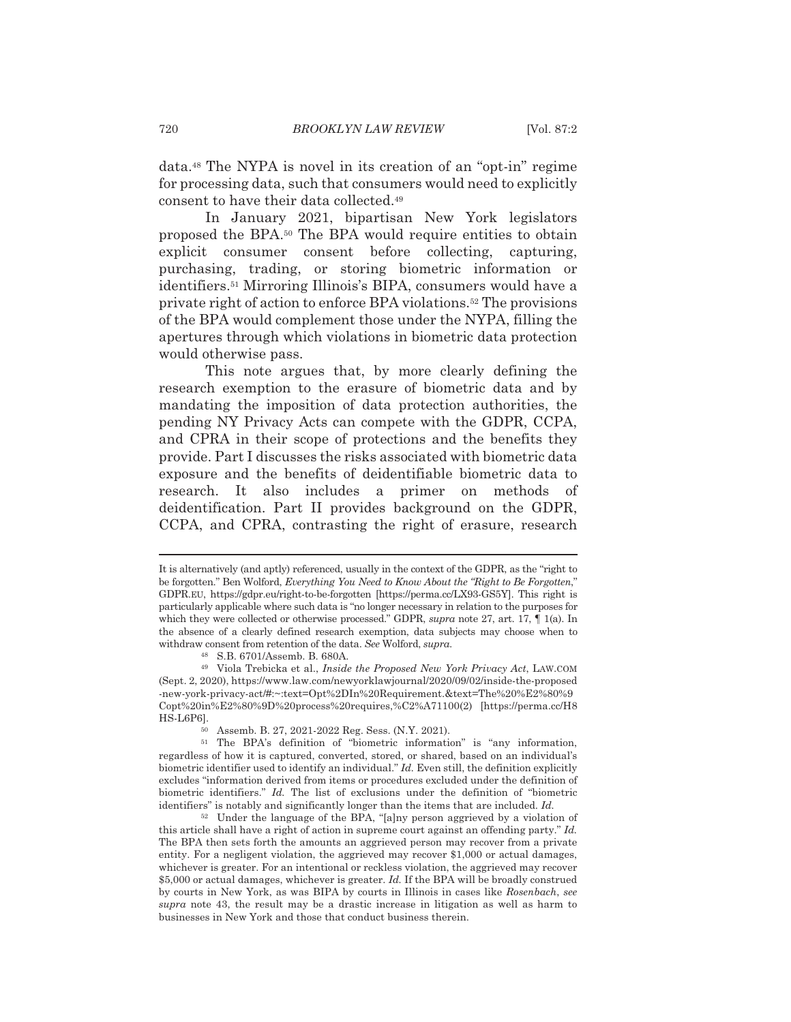data.<sup>48</sup> The NYPA is novel in its creation of an "opt-in" regime for processing data, such that consumers would need to explicitly consent to have their data collected.<sup>49</sup>

In January 2021, bipartisan New York legislators proposed the BPA.<sup>50</sup> The BPA would require entities to obtain explicit consumer consent before collecting, capturing, purchasing, trading, or storing biometric information or identifiers.<sup>51</sup> Mirroring Illinois's BIPA, consumers would have a private right of action to enforce BPA violations.<sup>52</sup> The provisions of the BPA would complement those under the NYPA, filling the apertures through which violations in biometric data protection would otherwise pass.

This note argues that, by more clearly defining the research exemption to the erasure of biometric data and by mandating the imposition of data protection authorities, the pending NY Privacy Acts can compete with the GDPR, CCPA, and CPRA in their scope of protections and the benefits they provide. Part I discusses the risks associated with biometric data exposure and the benefits of deidentifiable biometric data to research. It also includes a primer on methods of deidentification. Part II provides background on the GDPR, CCPA, and CPRA, contrasting the right of erasure, research

It is alternatively (and aptly) referenced, usually in the context of the GDPR, as the "right to be forgotten." Ben Wolford, Everything You Need to Know About the "Right to Be Forgotten," GDPR.EU, https://gdpr.eu/right-to-be-forgotten [https://perma.cc/LX93-GS5Y]. This right is particularly applicable where such data is "no longer necessary in relation to the purposes for which they were collected or otherwise processed." GDPR, supra note 27, art. 17,  $\P$  1(a). In the absence of a clearly defined research exemption, data subjects may choose when to withdraw consent from retention of the data. See Wolford, supra.

<sup>48</sup> S.B. 6701/Assemb. B. 680A.

<sup>&</sup>lt;sup>49</sup> Viola Trebicka et al., *Inside the Proposed New York Privacy Act*, LAW.COM (Sept. 2, 2020), https://www.law.com/newyorklawjournal/2020/09/02/inside-the-proposed -new-york-privacy-act#:~:text=Opt%2DIn%20Requirement.&text=The%20%E2%80%9 Copt%20in%E2%80%9D%20process%20requires.%C2%A71100(2) [https://perma.cc/H8 HS-L6P6].

Assemb. B. 27, 2021-2022 Reg. Sess. (N.Y. 2021).

<sup>&</sup>lt;sup>51</sup> The BPA's definition of "biometric information" is "any information, regardless of how it is captured, converted, stored, or shared, based on an individual's biometric identifier used to identify an individual." Id. Even still, the definition explicitly excludes "information derived from items or procedures excluded under the definition of biometric identifiers." Id. The list of exclusions under the definition of "biometric identifiers" is notably and significantly longer than the items that are included. Id.

<sup>&</sup>lt;sup>52</sup> Under the language of the BPA, "[a]ny person aggrieved by a violation of this article shall have a right of action in supreme court against an offending party." Id. The BPA then sets forth the amounts an aggrieved person may recover from a private entity. For a negligent violation, the aggrieved may recover \$1,000 or actual damages, whichever is greater. For an intentional or reckless violation, the aggrieved may recover \$5,000 or actual damages, whichever is greater. Id. If the BPA will be broadly construed by courts in New York, as was BIPA by courts in Illinois in cases like Rosenbach, see supra note 43, the result may be a drastic increase in litigation as well as harm to businesses in New York and those that conduct business therein.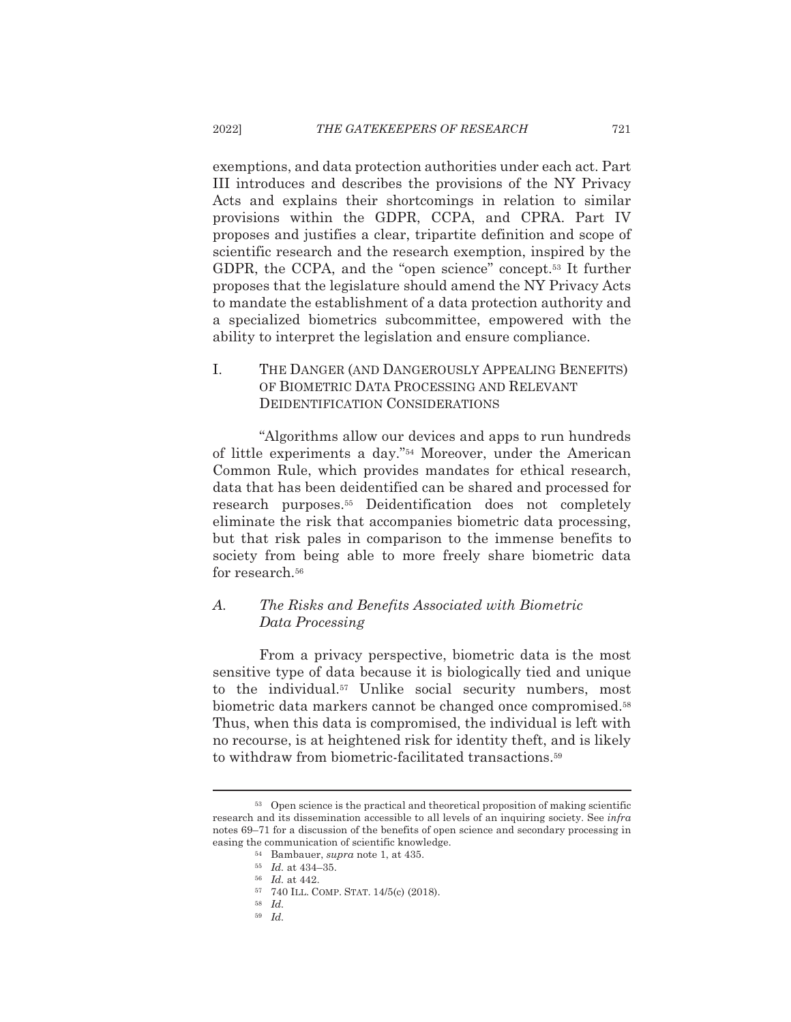exemptions, and data protection authorities under each act. Part III introduces and describes the provisions of the NY Privacy Acts and explains their shortcomings in relation to similar provisions within the GDPR, CCPA, and CPRA. Part IV proposes and justifies a clear, tripartite definition and scope of scientific research and the research exemption, inspired by the GDPR, the CCPA, and the "open science" concept.<sup>53</sup> It further proposes that the legislature should amend the NY Privacy Acts to mandate the establishment of a data protection authority and a specialized biometrics subcommittee, empowered with the ability to interpret the legislation and ensure compliance.

### I. THE DANGER (AND DANGEROUSLY APPEALING BENEFITS) OF BIOMETRIC DATA PROCESSING AND RELEVANT **DEIDENTIFICATION CONSIDERATIONS**

"Algorithms allow our devices and apps to run hundreds" of little experiments a day."<sup>54</sup> Moreover, under the American Common Rule, which provides mandates for ethical research, data that has been deidentified can be shared and processed for research purposes.<sup>55</sup> Deidentification does not completely eliminate the risk that accompanies biometric data processing, but that risk pales in comparison to the immense benefits to society from being able to more freely share biometric data for research.<sup>56</sup>

### $A_{\cdot}$ The Risks and Benefits Associated with Biometric Data Processing

From a privacy perspective, biometric data is the most sensitive type of data because it is biologically tied and unique to the individual.<sup>57</sup> Unlike social security numbers, most biometric data markers cannot be changed once compromised.<sup>58</sup> Thus, when this data is compromised, the individual is left with no recourse, is at heightened risk for identity theft, and is likely to withdraw from biometric-facilitated transactions.<sup>59</sup>

<sup>&</sup>lt;sup>53</sup> Open science is the practical and theoretical proposition of making scientific research and its dissemination accessible to all levels of an inquiring society. See infra notes 69–71 for a discussion of the benefits of open science and secondary processing in easing the communication of scientific knowledge.

<sup>&</sup>lt;sup>54</sup> Bambauer, *supra* note 1, at 435.

 $^{\rm 55}$   $\,$   $\!Id.$  at 434–35.

 $56$  *Id.* at 442.

<sup>57 740</sup> ILL. COMP. STAT. 14/5(c) (2018).

 $58$  *Id.* 

 $59$  Id.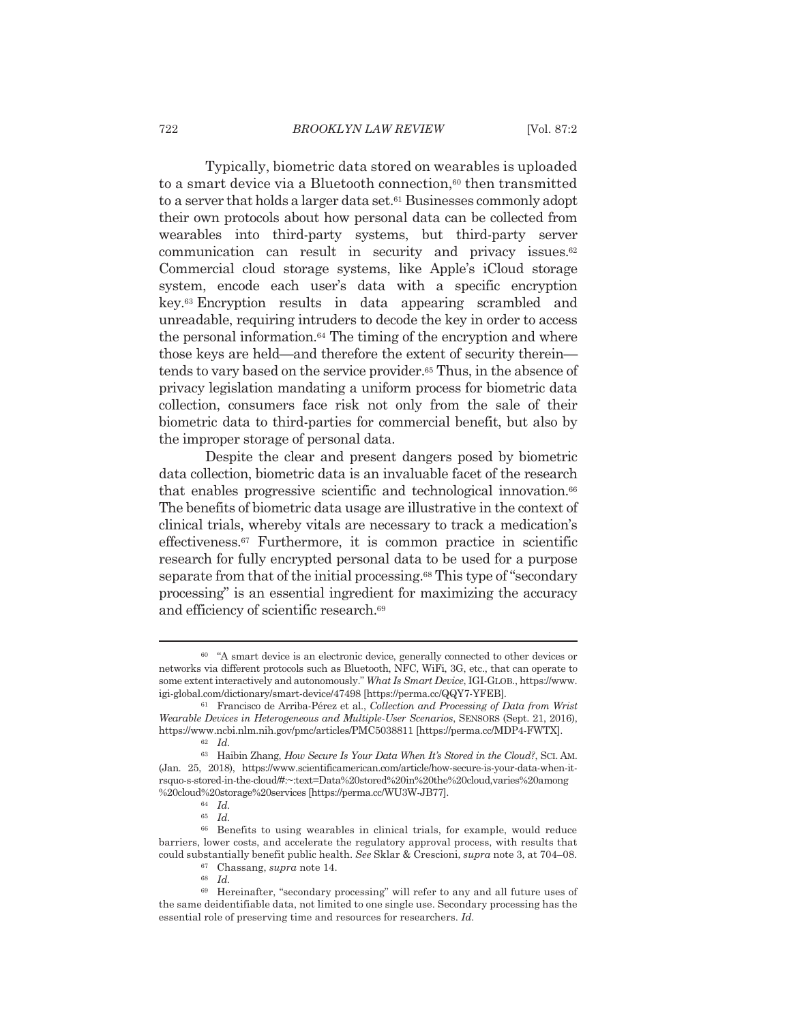Typically, biometric data stored on wearables is uploaded to a smart device via a Bluetooth connection,<sup>60</sup> then transmitted to a server that holds a larger data set.<sup>61</sup> Businesses commonly adopt their own protocols about how personal data can be collected from wearables into third-party systems, but third-party server communication can result in security and privacy issues.<sup>62</sup> Commercial cloud storage systems, like Apple's iCloud storage system, encode each user's data with a specific encryption key.<sup>63</sup> Encryption results in data appearing scrambled and unreadable, requiring intruders to decode the key in order to access the personal information.<sup>64</sup> The timing of the encryption and where those keys are held—and therefore the extent of security therein tends to vary based on the service provider.<sup>65</sup> Thus, in the absence of privacy legislation mandating a uniform process for biometric data collection, consumers face risk not only from the sale of their biometric data to third-parties for commercial benefit, but also by the improper storage of personal data.

Despite the clear and present dangers posed by biometric data collection, biometric data is an invaluable facet of the research that enables progressive scientific and technological innovation.<sup>66</sup> The benefits of biometric data usage are illustrative in the context of clinical trials, whereby vitals are necessary to track a medication's effectiveness.<sup>67</sup> Furthermore, it is common practice in scientific research for fully encrypted personal data to be used for a purpose separate from that of the initial processing.<sup>68</sup> This type of "secondary processing" is an essential ingredient for maximizing the accuracy and efficiency of scientific research.<sup>69</sup>

<sup>&</sup>lt;sup>60</sup> "A smart device is an electronic device, generally connected to other devices or networks via different protocols such as Bluetooth, NFC, WiFi, 3G, etc., that can operate to some extent interactively and autonomously." What Is Smart Device, IGI-GLOB., https://www. igi-global.com/dictionary/smart-device/47498 [https://perma.cc/QQY7-YFEB].

<sup>&</sup>lt;sup>61</sup> Francisco de Arriba-Pérez et al., Collection and Processing of Data from Wrist Wearable Devices in Heterogeneous and Multiple-User Scenarios, SENSORS (Sept. 21, 2016), https://www.ncbi.nlm.nih.gov/pmc/articles/PMC5038811 [https://perma.cc/MDP4-FWTX].

 $62$  *Id.* 

<sup>63</sup> Haibin Zhang, How Secure Is Your Data When It's Stored in the Cloud?, SCI. AM. (Jan. 25, 2018), https://www.scientificamerican.com/article/how-secure-is-your-data-when-itrsquo-s-stored-in-the-cloud#:~:text=Data%20stored%20in%20the%20cloud,varies%20among %20cloud%20storage%20services [https://perma.cc/WU3W-JB77].

 $64$  *Id.* 

 $^{65}$   $\,$   $Id.$ 

<sup>&</sup>lt;sup>66</sup> Benefits to using wearables in clinical trials, for example, would reduce barriers, lower costs, and accelerate the regulatory approval process, with results that could substantially benefit public health. See Sklar & Crescioni, supra note 3, at 704–08.

 $^{67}$  Chassang, supra note 14.  $^{68}$   $\,$   $Id.$ 

<sup>&</sup>lt;sup>69</sup> Hereinafter, "secondary processing" will refer to any and all future uses of the same deidentifiable data, not limited to one single use. Secondary processing has the essential role of preserving time and resources for researchers. Id.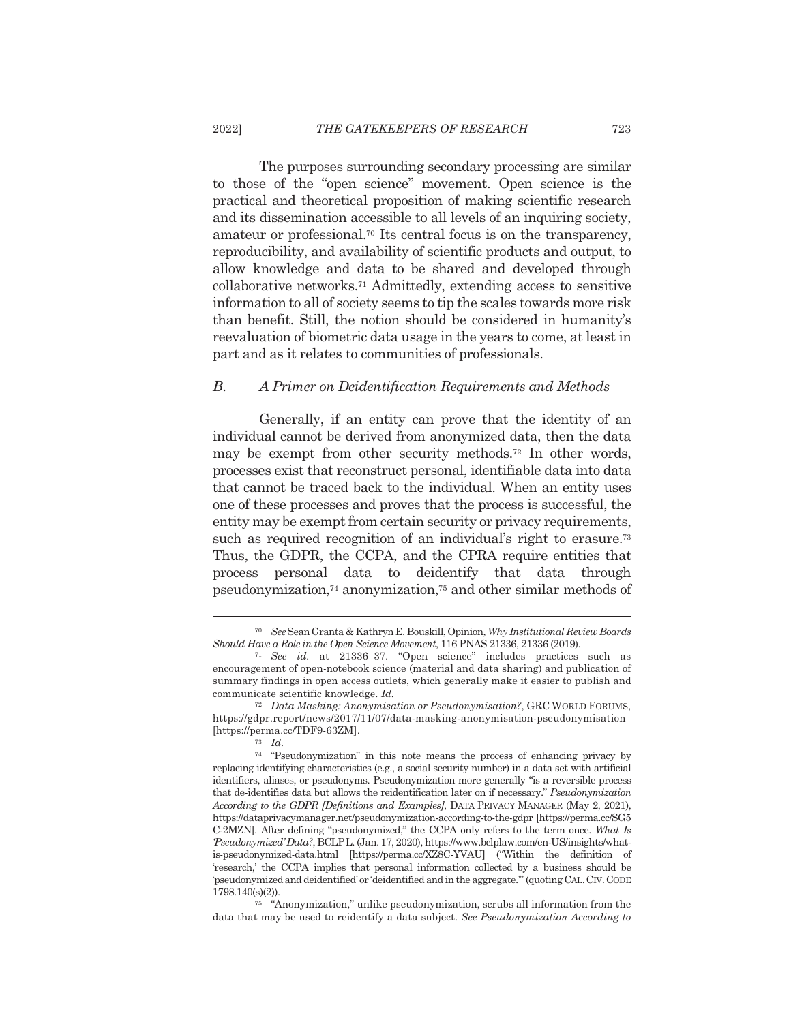The purposes surrounding secondary processing are similar to those of the "open science" movement. Open science is the practical and theoretical proposition of making scientific research and its dissemination accessible to all levels of an inquiring society, amateur or professional.<sup>70</sup> Its central focus is on the transparency, reproducibility, and availability of scientific products and output, to allow knowledge and data to be shared and developed through collaborative networks.<sup>71</sup> Admittedly, extending access to sensitive information to all of society seems to tip the scales towards more risk than benefit. Still, the notion should be considered in humanity's reevaluation of biometric data usage in the years to come, at least in part and as it relates to communities of professionals.

#### $B.$ A Primer on Deidentification Requirements and Methods

Generally, if an entity can prove that the identity of an individual cannot be derived from anonymized data, then the data may be exempt from other security methods.<sup>72</sup> In other words, processes exist that reconstruct personal, identifiable data into data that cannot be traced back to the individual. When an entity uses one of these processes and proves that the process is successful, the entity may be exempt from certain security or privacy requirements, such as required recognition of an individual's right to erasure.<sup>73</sup> Thus, the GDPR, the CCPA, and the CPRA require entities that process personal data to deidentify that data through pseudonymization,<sup>74</sup> anonymization,<sup>75</sup> and other similar methods of

<sup>&</sup>lt;sup>70</sup> See Sean Granta & Kathryn E. Bouskill, Opinion, Why Institutional Review Boards Should Have a Role in the Open Science Movement, 116 PNAS 21336, 21336 (2019).

<sup>&</sup>lt;sup>71</sup> See id. at 21336-37. "Open science" includes practices such as encouragement of open-notebook science (material and data sharing) and publication of summary findings in open access outlets, which generally make it easier to publish and communicate scientific knowledge. Id.

<sup>&</sup>lt;sup>72</sup> Data Masking: Anonymisation or Pseudonymisation?, GRC WORLD FORUMS, https://gdpr.report/news/2017/11/07/data-masking-anonymisation-pseudonymisation [https://perma.cc/TDF9-63ZM].

 $73$  *Id.* 

<sup>&</sup>lt;sup>74</sup> "Pseudonymization" in this note means the process of enhancing privacy by replacing identifying characteristics (e.g., a social security number) in a data set with artificial identifiers, aliases, or pseudonyms. Pseudonymization more generally "is a reversible process that de-identifies data but allows the reidentification later on if necessary." Pseudonymization According to the GDPR [Definitions and Examples], DATA PRIVACY MANAGER (May 2, 2021), https://dataprivacymanager.net/pseudonymization-according-to-the-gdpr [https://perma.cc/SG5 C-2MZN]. After defining "pseudonymized," the CCPA only refers to the term once. What Is Pseudonymized'Data?, BCLP L. (Jan. 17, 2020), https://www.bclplaw.com/en-US/insights/whatis-pseudonymized-data.html [https://perma.cc/XZ8C-YVAU] ("Within the definition of 'research,' the CCPA implies that personal information collected by a business should be 'pseudonymized and deidentified' or 'deidentified and in the aggregate."' (quoting CAL. CIV. CODE  $1798.140(s)(2)$ ).

 $\frac{1}{75}$  "Anonymization," unlike pseudonymization, scrubs all information from the data that may be used to reidentify a data subject. See Pseudonymization According to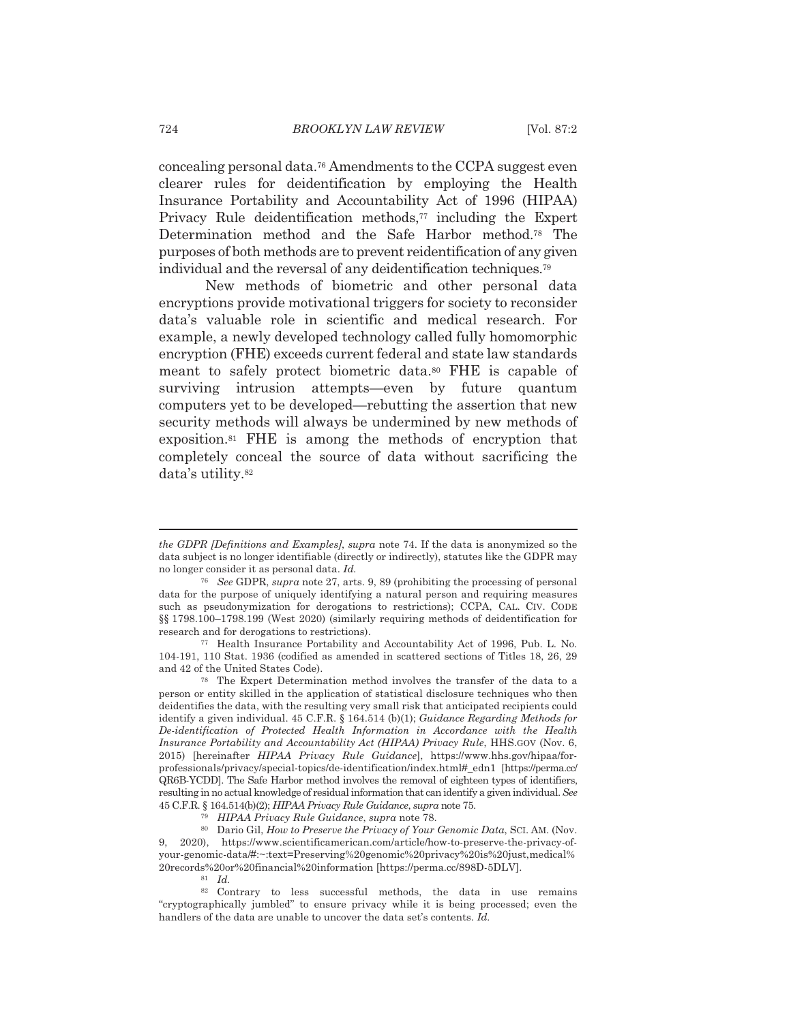concealing personal data.<sup>76</sup> Amendments to the CCPA suggest even clearer rules for deidentification by employing the Health Insurance Portability and Accountability Act of 1996 (HIPAA) Privacy Rule deidentification methods,<sup>77</sup> including the Expert Determination method and the Safe Harbor method.<sup>78</sup> The purposes of both methods are to prevent reidentification of any given individual and the reversal of any deidentification techniques.<sup>79</sup>

New methods of biometric and other personal data encryptions provide motivational triggers for society to reconsider data's valuable role in scientific and medical research. For example, a newly developed technology called fully homomorphic encryption (FHE) exceeds current federal and state law standards meant to safely protect biometric data.<sup>80</sup> FHE is capable of surviving intrusion attempts—even by future quantum computers yet to be developed—rebutting the assertion that new security methods will always be undermined by new methods of exposition.<sup>81</sup> FHE is among the methods of encryption that completely conceal the source of data without sacrificing the data's utility.<sup>82</sup>

<sup>77</sup> Health Insurance Portability and Accountability Act of 1996, Pub. L. No. 104-191, 110 Stat. 1936 (codified as amended in scattered sections of Titles 18, 26, 29 and 42 of the United States Code).

<sup>78</sup> The Expert Determination method involves the transfer of the data to a person or entity skilled in the application of statistical disclosure techniques who then deidentifies the data, with the resulting very small risk that anticipated recipients could identify a given individual. 45 C.F.R. § 164.514 (b)(1); Guidance Regarding Methods for De-identification of Protected Health Information in Accordance with the Health Insurance Portability and Accountability Act (HIPAA) Privacy Rule, HHS.GOV (Nov. 6, 2015) [hereinafter HIPAA Privacy Rule Guidance], https://www.hhs.gov/hipaa/forprofessionals/privacy/special-topics/de-identification/index.html#\_edn1 [https://perma.cc/ QR6B-YCDD]. The Safe Harbor method involves the removal of eighteen types of identifiers, resulting in no actual knowledge of residual information that can identify a given individual. See 45 C.F.R. § 164.514(b)(2); HIPAA Privacy Rule Guidance, supra note 75.

the GDPR (Definitions and Examples), supra note 74. If the data is anonymized so the data subject is no longer identifiable (directly or indirectly), statutes like the GDPR may no longer consider it as personal data. Id.

<sup>&</sup>lt;sup>76</sup> See GDPR, supra note 27, arts. 9, 89 (prohibiting the processing of personal data for the purpose of uniquely identifying a natural person and requiring measures such as pseudonymization for derogations to restrictions); CCPA, CAL, CIV, CODE §§ 1798.100–1798.199 (West 2020) (similarly requiring methods of deidentification for research and for derogations to restrictions).

<sup>&</sup>lt;sup>79</sup> HIPAA Privacy Rule Guidance, supra note 78.

<sup>&</sup>lt;sup>80</sup> Dario Gil, How to Preserve the Privacy of Your Genomic Data, SCI. AM. (Nov. 9, 2020), https://www.scientificamerican.com/article/how-to-preserve-the-privacy-ofyour-genomic-data/#:~:text=Preserving%20genomic%20privacy%20is%20just,medical% 20records%20or%20financial%20information [https://perma.cc/898D-5DLV].

 $81$  *Id.* 

<sup>82</sup> Contrary to less successful methods, the data in use remains "cryptographically jumbled" to ensure privacy while it is being processed; even the handlers of the data are unable to uncover the data set's contents. Id.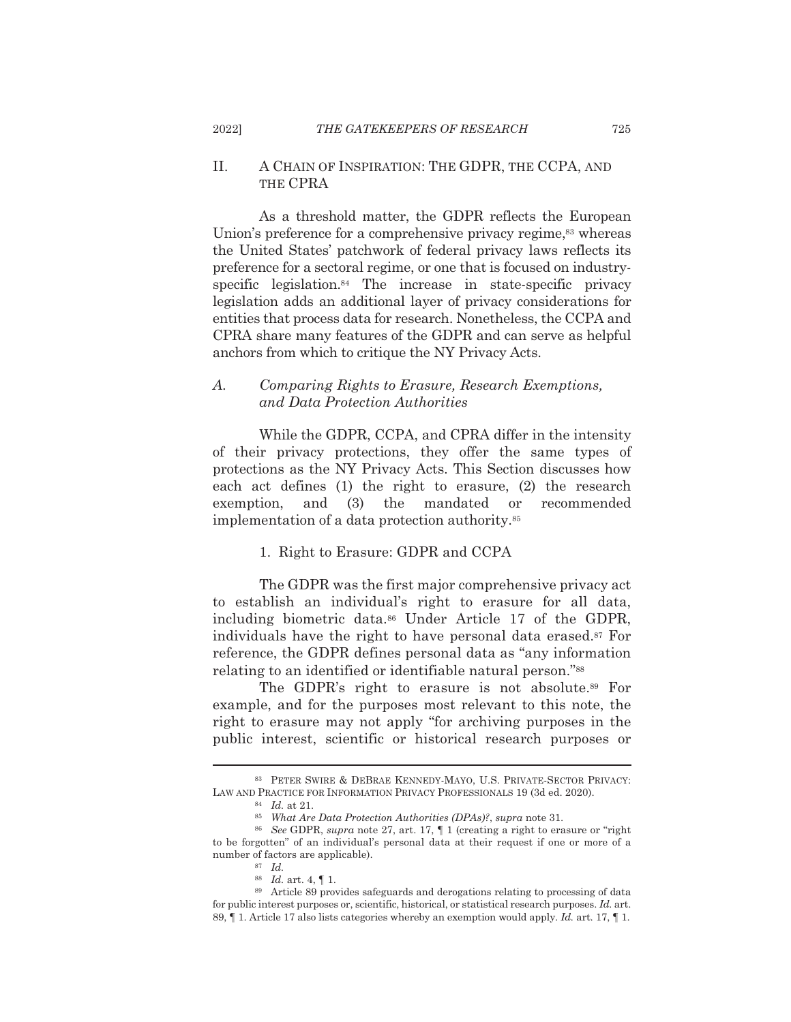2022]

### $II.$ A CHAIN OF INSPIRATION: THE GDPR, THE CCPA, AND THE CPRA

As a threshold matter, the GDPR reflects the European Union's preference for a comprehensive privacy regime,<sup>83</sup> whereas the United States' patchwork of federal privacy laws reflects its preference for a sectoral regime, or one that is focused on industryspecific legislation.<sup>84</sup> The increase in state-specific privacy legislation adds an additional layer of privacy considerations for entities that process data for research. Nonetheless, the CCPA and CPRA share many features of the GDPR and can serve as helpful anchors from which to critique the NY Privacy Acts.

### $A_{\cdot}$ Comparing Rights to Erasure, Research Exemptions, and Data Protection Authorities

While the GDPR, CCPA, and CPRA differ in the intensity of their privacy protections, they offer the same types of protections as the NY Privacy Acts. This Section discusses how each act defines (1) the right to erasure, (2) the research exemption, and  $(3)$ the mandated or recommended implementation of a data protection authority.<sup>85</sup>

## 1. Right to Erasure: GDPR and CCPA

The GDPR was the first major comprehensive privacy act to establish an individual's right to erasure for all data, including biometric data.<sup>86</sup> Under Article 17 of the GDPR. individuals have the right to have personal data erased.<sup>87</sup> For reference, the GDPR defines personal data as "any information" relating to an identified or identifiable natural person."<sup>88</sup>

The GDPR's right to erasure is not absolute.<sup>89</sup> For example, and for the purposes most relevant to this note, the right to erasure may not apply "for archiving purposes in the public interest, scientific or historical research purposes or

725

<sup>83</sup> PETER SWIRE & DEBRAE KENNEDY-MAYO, U.S. PRIVATE-SECTOR PRIVACY: LAW AND PRACTICE FOR INFORMATION PRIVACY PROFESSIONALS 19 (3d ed. 2020).

 $^{84}$  *Id.* at 21.

<sup>&</sup>lt;sup>85</sup> What Are Data Protection Authorities (DPAs)?, supra note 31.

<sup>&</sup>lt;sup>86</sup> See GDPR, supra note 27, art. 17, 1 (creating a right to erasure or "right" to be forgotten" of an individual's personal data at their request if one or more of a number of factors are applicable).

 $87$  *Id.* 

<sup>&</sup>lt;sup>88</sup> *Id.* art. 4,  $\P$  1.

<sup>&</sup>lt;sup>89</sup> Article 89 provides safeguards and derogations relating to processing of data for public interest purposes or, scientific, historical, or statistical research purposes. Id. art. 89,  $\parallel$  1. Article 17 also lists categories whereby an exemption would apply. *Id.* art. 17,  $\parallel$  1.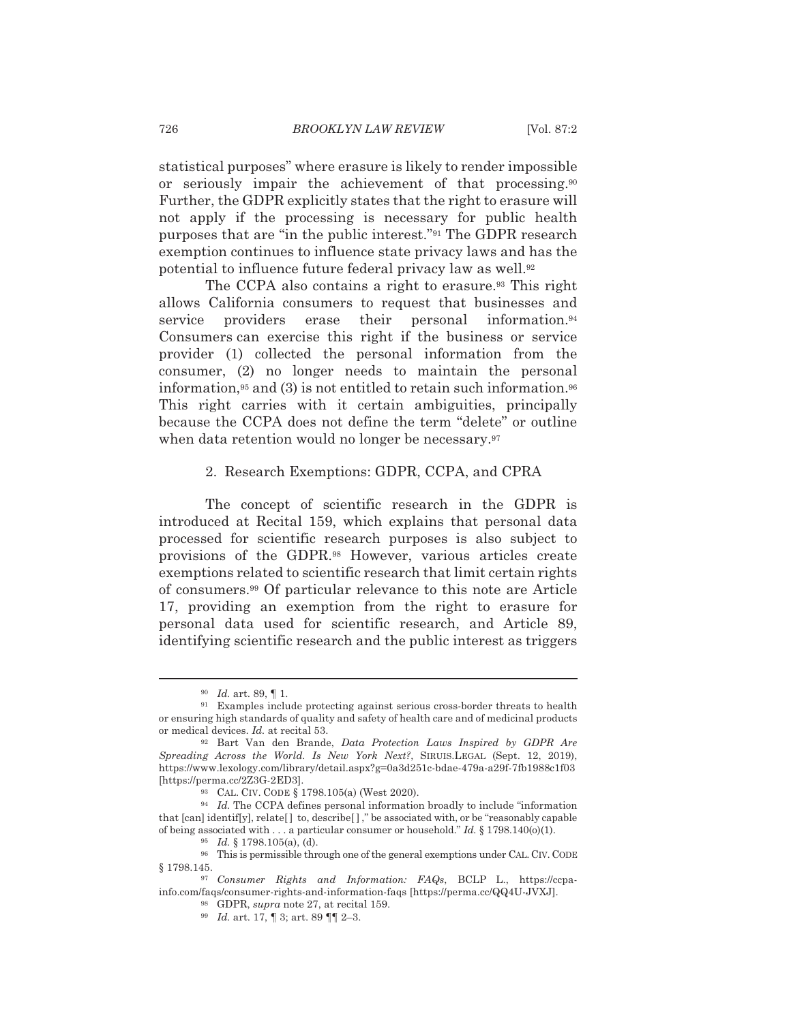statistical purposes" where erasure is likely to render impossible or seriously impair the achievement of that processing.<sup>90</sup> Further, the GDPR explicitly states that the right to erasure will not apply if the processing is necessary for public health purposes that are "in the public interest."<sup>91</sup> The GDPR research exemption continues to influence state privacy laws and has the potential to influence future federal privacy law as well.<sup>92</sup>

The CCPA also contains a right to erasure.<sup>93</sup> This right allows California consumers to request that businesses and service personal information.<sup>94</sup> providers erase their Consumers can exercise this right if the business or service provider (1) collected the personal information from the consumer, (2) no longer needs to maintain the personal information,<sup>95</sup> and (3) is not entitled to retain such information.<sup>96</sup> This right carries with it certain ambiguities, principally because the CCPA does not define the term "delete" or outline when data retention would no longer be necessary.<sup>97</sup>

### 2. Research Exemptions: GDPR, CCPA, and CPRA

The concept of scientific research in the GDPR is introduced at Recital 159, which explains that personal data processed for scientific research purposes is also subject to provisions of the GDPR.<sup>98</sup> However, various articles create exemptions related to scientific research that limit certain rights of consumers.<sup>99</sup> Of particular relevance to this note are Article 17, providing an exemption from the right to erasure for personal data used for scientific research, and Article 89, identifying scientific research and the public interest as triggers

 $^{90}$  *Id.* art. 89, 1.

<sup>91</sup> Examples include protecting against serious cross-border threats to health or ensuring high standards of quality and safety of health care and of medicinal products or medical devices. Id. at recital 53.

<sup>92</sup> Bart Van den Brande, Data Protection Laws Inspired by GDPR Are Spreading Across the World. Is New York Next?, SIRUIS.LEGAL (Sept. 12, 2019), https://www.lexology.com/library/detail.aspx?g=0a3d251c-bdae-479a-a29f-7fb1988c1f03 [https://perma.cc/2Z3G-2ED3].

<sup>93</sup> CAL. CIV. CODE § 1798.105(a) (West 2020).

<sup>&</sup>lt;sup>94</sup> Id. The CCPA defines personal information broadly to include "information" that [can] identif[y], relate[] to, describe[]," be associated with, or be "reasonably capable of being associated with ... a particular consumer or household." Id. § 1798.140(o)(1).

 $^{95}$  *Id.* § 1798.105(a), (d).

<sup>&</sup>lt;sup>96</sup> This is permissible through one of the general exemptions under CAL. CIV. CODE  $$1798.145.$ 

<sup>97</sup> Consumer Rights and Information: FAQs, BCLP L., https://ccpainfo.com/faqs/consumer-rights-and-information-faqs [https://perma.cc/QQ4U-JVXJ].

<sup>&</sup>lt;sup>98</sup> GDPR, *supra* note 27, at recital 159.

<sup>&</sup>lt;sup>99</sup> *Id.* art. 17,  $\int$  3; art. 89  $\int$  2-3.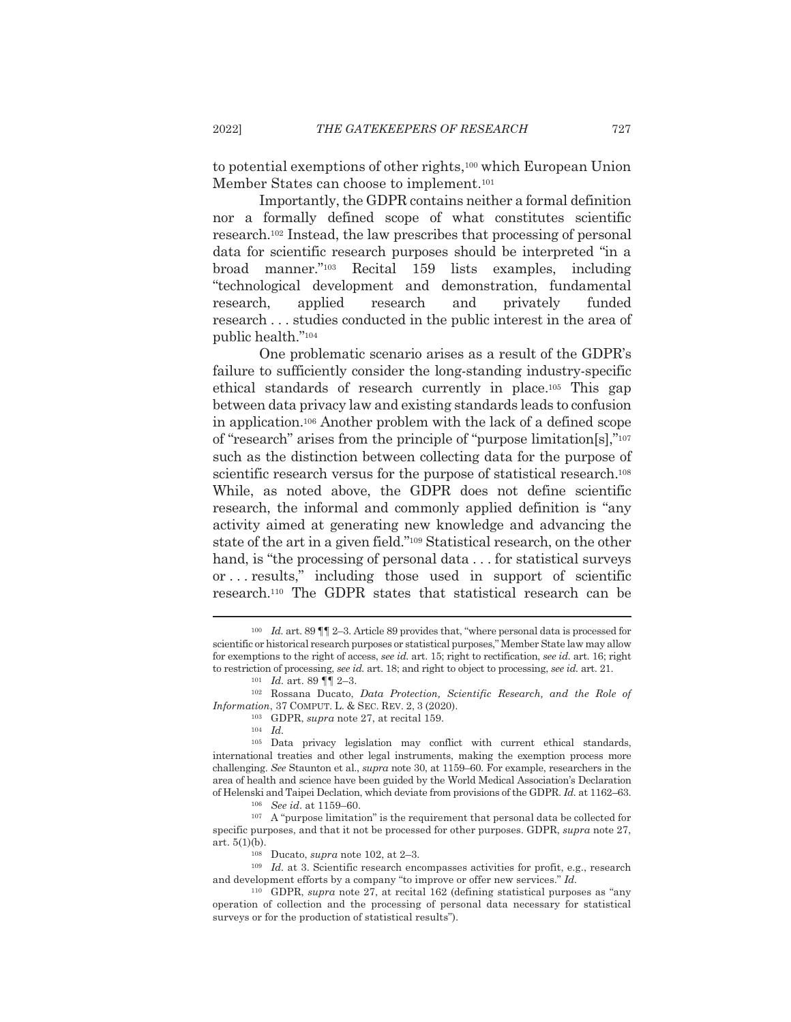to potential exemptions of other rights,<sup>100</sup> which European Union Member States can choose to implement.<sup>101</sup>

Importantly, the GDPR contains neither a formal definition nor a formally defined scope of what constitutes scientific research.<sup>102</sup> Instead, the law prescribes that processing of personal data for scientific research purposes should be interpreted "in a broad manner."103 Recital 159 lists examples, including "technological development and demonstration, fundamental research. applied research and privately funded research . . . studies conducted in the public interest in the area of public health."104

One problematic scenario arises as a result of the GDPR's failure to sufficiently consider the long-standing industry-specific ethical standards of research currently in place.<sup>105</sup> This gap between data privacy law and existing standards leads to confusion in application.<sup>106</sup> Another problem with the lack of a defined scope of "research" arises from the principle of "purpose limitation[s],"107 such as the distinction between collecting data for the purpose of scientific research versus for the purpose of statistical research.<sup>108</sup> While, as noted above, the GDPR does not define scientific research, the informal and commonly applied definition is "any activity aimed at generating new knowledge and advancing the state of the art in a given field."<sup>109</sup> Statistical research, on the other hand, is "the processing of personal data... for statistical surveys" or... results," including those used in support of scientific research.<sup>110</sup> The GDPR states that statistical research can be

<sup>&</sup>lt;sup>100</sup> Id. art. 89  $\P$  1 2–3. Article 89 provides that, "where personal data is processed for scientific or historical research purposes or statistical purposes," Member State law may allow for exemptions to the right of access, see id. art. 15; right to rectification, see id. art. 16; right to restriction of processing, see id. art. 18; and right to object to processing, see id. art. 21.  $101$  *Id.* art. 89  $\P\P$  2-3.

<sup>&</sup>lt;sup>102</sup> Rossana Ducato, *Data Protection*, *Scientific Research*, and the Role of *Information, 37 COMPUT, L. & SEC, REV. 2, 3 (2020).* 

<sup>&</sup>lt;sup>103</sup> GDPR, *supra* note 27, at recital 159.

 $^{104}\;$   $Id.$ 

<sup>&</sup>lt;sup>105</sup> Data privacy legislation may conflict with current ethical standards, international treaties and other legal instruments, making the exemption process more challenging. See Staunton et al., supra note 30, at 1159-60. For example, researchers in the area of health and science have been guided by the World Medical Association's Declaration of Helenski and Taipei Declation, which deviate from provisions of the GDPR. Id. at 1162–63.

 $106$  See id. at 1159-60.

 $107$  A "purpose limitation" is the requirement that personal data be collected for specific purposes, and that it not be processed for other purposes. GDPR, supra note 27,  $art. 5(1)(b).$ 

<sup>&</sup>lt;sup>108</sup> Ducato, *supra* note 102, at 2-3.

 $109$  *Id.* at 3. Scientific research encompasses activities for profit, e.g., research and development efforts by a company "to improve or offer new services." Id.

<sup>&</sup>lt;sup>110</sup> GDPR, *supra* note 27, at recital 162 (defining statistical purposes as "any operation of collection and the processing of personal data necessary for statistical surveys or for the production of statistical results").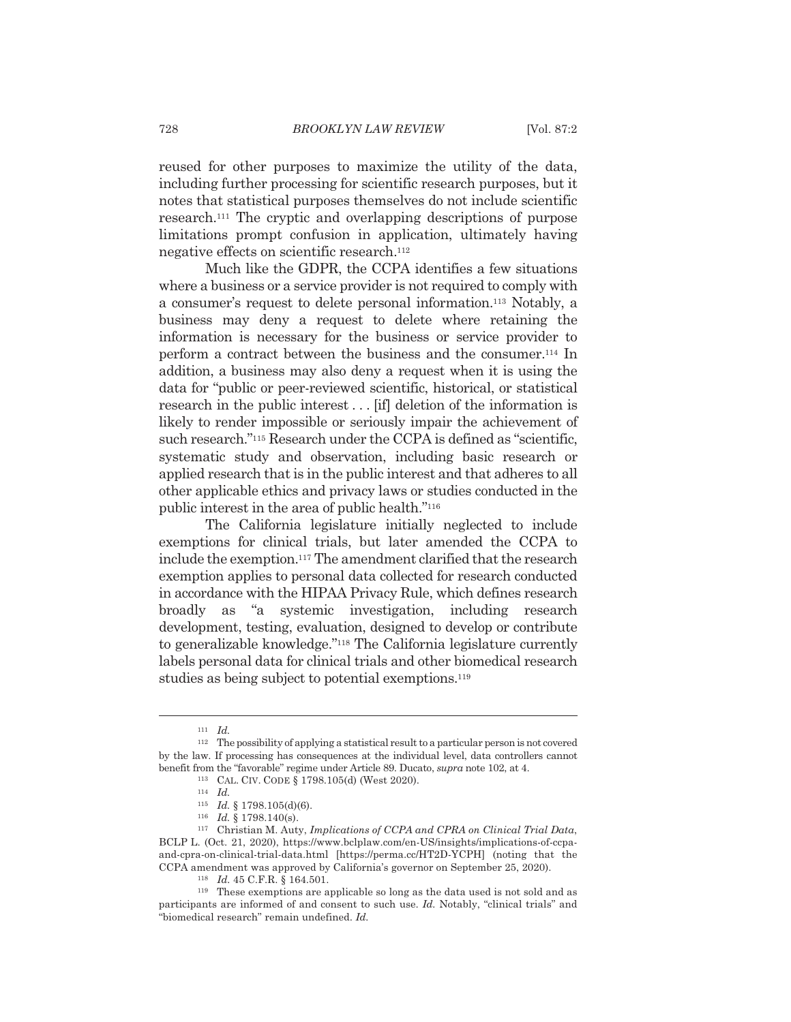reused for other purposes to maximize the utility of the data, including further processing for scientific research purposes, but it notes that statistical purposes themselves do not include scientific research.<sup>111</sup> The cryptic and overlapping descriptions of purpose limitations prompt confusion in application, ultimately having negative effects on scientific research.<sup>112</sup>

Much like the GDPR, the CCPA identifies a few situations where a business or a service provider is not required to comply with a consumer's request to delete personal information.<sup>113</sup> Notably, a business may deny a request to delete where retaining the information is necessary for the business or service provider to perform a contract between the business and the consumer.<sup>114</sup> In addition, a business may also deny a request when it is using the data for "public or peer-reviewed scientific, historical, or statistical research in the public interest... [if] deletion of the information is likely to render impossible or seriously impair the achievement of such research."<sup>115</sup> Research under the CCPA is defined as "scientific, systematic study and observation, including basic research or applied research that is in the public interest and that adheres to all other applicable ethics and privacy laws or studies conducted in the public interest in the area of public health."<sup>116</sup>

The California legislature initially neglected to include exemptions for clinical trials, but later amended the CCPA to include the exemption.<sup>117</sup> The amendment clarified that the research exemption applies to personal data collected for research conducted in accordance with the HIPAA Privacy Rule, which defines research broadly as "a systemic investigation, including research development, testing, evaluation, designed to develop or contribute to generalizable knowledge."<sup>118</sup> The California legislature currently labels personal data for clinical trials and other biomedical research studies as being subject to potential exemptions.<sup>119</sup>

 $111$  *Id.* 

 $112$  The possibility of applying a statistical result to a particular person is not covered by the law. If processing has consequences at the individual level, data controllers cannot benefit from the "favorable" regime under Article 89. Ducato, *supra* note 102, at 4. 113 CAL. CIV. CODE § 1798.105(d) (West 2020).

 $^{114}$   $\,$   $Id.$ 

 $115$  *Id.* § 1798.105(d)(6).  $116$  *Id.* § 1798.140(s).

<sup>&</sup>lt;sup>117</sup> Christian M. Auty, Implications of CCPA and CPRA on Clinical Trial Data, BCLP L. (Oct. 21, 2020), https://www.bclplaw.com/en-US/insights/implications-of-ccpaand-cpra-on-clinical-trial-data.html [https://perma.cc/HT2D-YCPH] (noting that the CCPA amendment was approved by California's governor on September 25, 2020).

<sup>118</sup> Id. 45 C.F.R. § 164.501.

<sup>&</sup>lt;sup>119</sup> These exemptions are applicable so long as the data used is not sold and as participants are informed of and consent to such use, *Id.* Notably, "clinical trials" and "biomedical research" remain undefined. Id.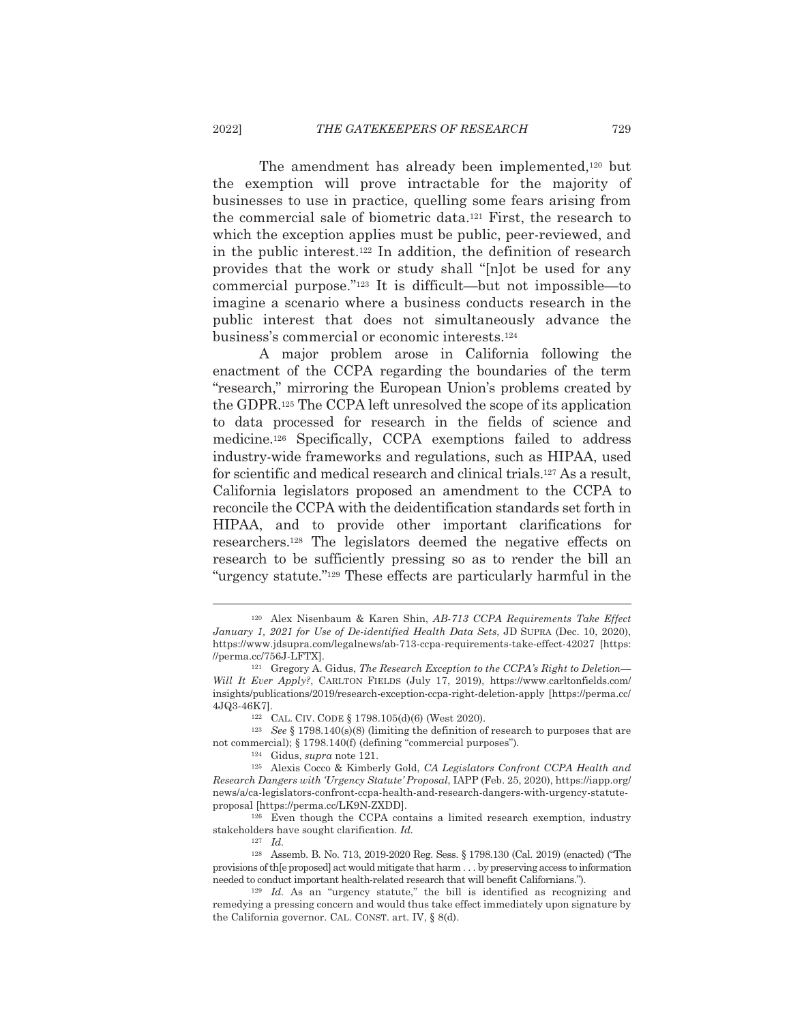The amendment has already been implemented,<sup>120</sup> but the exemption will prove intractable for the majority of businesses to use in practice, quelling some fears arising from the commercial sale of biometric data.<sup>121</sup> First, the research to which the exception applies must be public, peer-reviewed, and in the public interest.<sup>122</sup> In addition, the definition of research provides that the work or study shall "[n] ot be used for any commercial purpose." $123$  It is difficult—but not impossible—to imagine a scenario where a business conducts research in the public interest that does not simultaneously advance the business's commercial or economic interests.<sup>124</sup>

A major problem arose in California following the enactment of the CCPA regarding the boundaries of the term "research," mirroring the European Union's problems created by the GDPR.<sup>125</sup> The CCPA left unresolved the scope of its application to data processed for research in the fields of science and medicine.<sup>126</sup> Specifically, CCPA exemptions failed to address industry-wide frameworks and regulations, such as HIPAA, used for scientific and medical research and clinical trials.<sup>127</sup> As a result, California legislators proposed an amendment to the CCPA to reconcile the CCPA with the deidentification standards set forth in HIPAA, and to provide other important clarifications for researchers.<sup>128</sup> The legislators deemed the negative effects on research to be sufficiently pressing so as to render the bill an "urgency statute."<sup>129</sup> These effects are particularly harmful in the

<sup>126</sup> Even though the CCPA contains a limited research exemption, industry stakeholders have sought clarification. Id.

 $127$  *Id.* 

<sup>&</sup>lt;sup>120</sup> Alex Nisenbaum & Karen Shin, AB-713 CCPA Requirements Take Effect January 1, 2021 for Use of De-identified Health Data Sets, JD SUPRA (Dec. 10, 2020), https://www.jdsupra.com/legalnews/ab-713-ccpa-requirements-take-effect-42027 [https: //perma.cc/756J-LFTX].

<sup>&</sup>lt;sup>121</sup> Gregory A. Gidus, *The Research Exception to the CCPA's Right to Deletion*— Will It Ever Apply?, CARLTON FIELDS (July 17, 2019), https://www.carltonfields.com/ insights/publications/2019/research-exception-ccpa-right-deletion-apply [https://perma.cc/ 4JQ3-46K7l.

<sup>122</sup> CAL. CIV. CODE § 1798.105(d)(6) (West 2020).

 $^{123}$   $\,$  See § 1798.140(s)(8) (limiting the definition of research to purposes that are not commercial); § 1798.140(f) (defining "commercial purposes").

 $124$  Gidus, *supra* note 121.

<sup>&</sup>lt;sup>125</sup> Alexis Cocco & Kimberly Gold, CA Legislators Confront CCPA Health and Research Dangers with 'Urgency Statute' Proposal, IAPP (Feb. 25, 2020), https://iapp.org/ news/a/ca-legislators-confront-ccpa-health-and-research-dangers-with-urgency-statuteproposal [https://perma.cc/LK9N-ZXDD].

<sup>&</sup>lt;sup>128</sup> Assemb. B. No. 713, 2019-2020 Reg. Sess. § 1798.130 (Cal. 2019) (enacted) ("The provisions of the proposed act would mitigate that harm . . . by preserving access to information needed to conduct important health-related research that will benefit Californians.").

 $129$  *Id.* As an "urgency statute," the bill is identified as recognizing and remedying a pressing concern and would thus take effect immediately upon signature by the California governor. CAL. CONST. art. IV, § 8(d).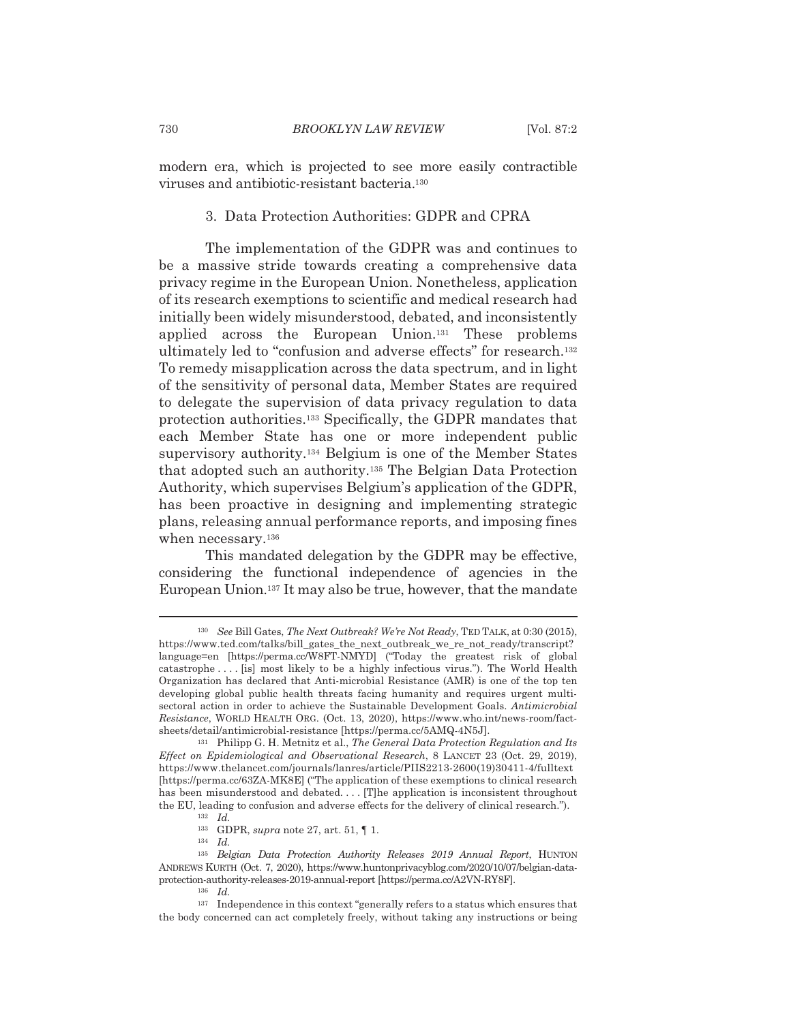modern era, which is projected to see more easily contractible viruses and antibiotic-resistant bacteria.<sup>130</sup>

## 3. Data Protection Authorities: GDPR and CPRA

The implementation of the GDPR was and continues to be a massive stride towards creating a comprehensive data privacy regime in the European Union. Nonetheless, application of its research exemptions to scientific and medical research had initially been widely misunderstood, debated, and inconsistently applied across the European Union.<sup>131</sup> These problems ultimately led to "confusion and adverse effects" for research.<sup>132</sup> To remedy misapplication across the data spectrum, and in light of the sensitivity of personal data, Member States are required to delegate the supervision of data privacy regulation to data protection authorities.<sup>133</sup> Specifically, the GDPR mandates that each Member State has one or more independent public supervisory authority.<sup>134</sup> Belgium is one of the Member States that adopted such an authority.<sup>135</sup> The Belgian Data Protection Authority, which supervises Belgium's application of the GDPR, has been proactive in designing and implementing strategic plans, releasing annual performance reports, and imposing fines when necessary.<sup>136</sup>

This mandated delegation by the GDPR may be effective. considering the functional independence of agencies in the European Union.<sup>137</sup> It may also be true, however, that the mandate

<sup>&</sup>lt;sup>130</sup> See Bill Gates, The Next Outbreak? We're Not Ready, TED TALK, at 0:30 (2015), https://www.ted.com/talks/bill\_gates\_the\_next\_outbreak\_we\_re\_not\_ready/transcript? language=en [https://perma.cc/W8FT-NMYD] ("Today the greatest risk of global catastrophe ... [is] most likely to be a highly infectious virus."). The World Health Organization has declared that Anti-microbial Resistance (AMR) is one of the top ten developing global public health threats facing humanity and requires urgent multisectoral action in order to achieve the Sustainable Development Goals. Antimicrobial Resistance, WORLD HEALTH ORG. (Oct. 13, 2020), https://www.who.int/news-room/factsheets/detail/antimicrobial-resistance [https://perma.cc/5AMQ-4N5J].

<sup>&</sup>lt;sup>131</sup> Philipp G. H. Metnitz et al., *The General Data Protection Regulation and Its* Effect on Epidemiological and Observational Research, 8 LANCET 23 (Oct. 29, 2019), https://www.thelancet.com/journals/lanres/article/PIIS2213-2600(19)30411-4/fulltext [https://perma.cc/63ZA-MK8E] ("The application of these exemptions to clinical research has been misunderstood and debated.... [T]he application is inconsistent throughout the EU, leading to confusion and adverse effects for the delivery of clinical research.").  $132$  *Id.* 

 $^{133}~$  GDPR, supra note 27, art. 51,  $\P$ 1.

 $134$  *Id.* 

<sup>135</sup> Belgian Data Protection Authority Releases 2019 Annual Report, HUNTON ANDREWS KURTH (Oct. 7, 2020), https://www.huntonprivacyblog.com/2020/10/07/belgian-dataprotection-authority-releases-2019-annual-report [https://perma.cc/A2VN-RY8F].

 $136$  *Id.* 

<sup>&</sup>lt;sup>137</sup> Independence in this context "generally refers to a status which ensures that the body concerned can act completely freely, without taking any instructions or being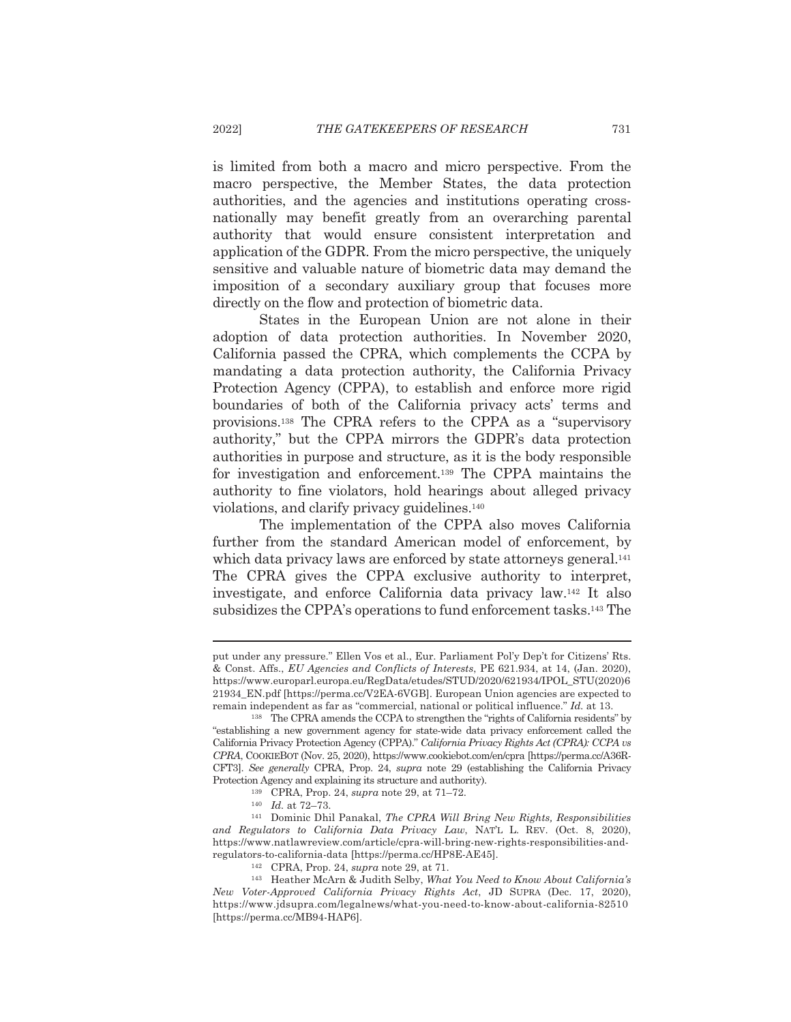is limited from both a macro and micro perspective. From the macro perspective, the Member States, the data protection authorities, and the agencies and institutions operating crossnationally may benefit greatly from an overarching parental authority that would ensure consistent interpretation and application of the GDPR. From the micro perspective, the uniquely sensitive and valuable nature of biometric data may demand the imposition of a secondary auxiliary group that focuses more directly on the flow and protection of biometric data.

States in the European Union are not alone in their adoption of data protection authorities. In November 2020, California passed the CPRA, which complements the CCPA by mandating a data protection authority, the California Privacy Protection Agency (CPPA), to establish and enforce more rigid boundaries of both of the California privacy acts' terms and provisions.<sup>138</sup> The CPRA refers to the CPPA as a "supervisory" authority," but the CPPA mirrors the GDPR's data protection authorities in purpose and structure, as it is the body responsible for investigation and enforcement.<sup>139</sup> The CPPA maintains the authority to fine violators, hold hearings about alleged privacy violations, and clarify privacy guidelines.<sup>140</sup>

The implementation of the CPPA also moves California further from the standard American model of enforcement, by which data privacy laws are enforced by state attorneys general.<sup>141</sup> The CPRA gives the CPPA exclusive authority to interpret, investigate, and enforce California data privacy law.<sup>142</sup> It also subsidizes the CPPA's operations to fund enforcement tasks.<sup>143</sup> The

put under any pressure." Ellen Vos et al., Eur. Parliament Pol'y Dep't for Citizens' Rts. & Const. Affs., EU Agencies and Conflicts of Interests, PE 621.934, at 14, (Jan. 2020), https://www.europarl.europa.eu/RegData/etudes/STUD/2020/621934/IPOL\_STU(2020)6 21934\_EN.pdf [https://perma.cc/V2EA-6VGB]. European Union agencies are expected to remain independent as far as "commercial, national or political influence." Id. at 13.

<sup>&</sup>lt;sup>138</sup> The CPRA amends the CCPA to strengthen the "rights of California residents" by "establishing a new government agency for state-wide data privacy enforcement called the California Privacy Protection Agency (CPPA)." California Privacy Rights Act (CPRA): CCPA vs CPRA, COOKIEBOT (Nov. 25, 2020), https://www.cookiebot.com/en/cpra [https://perma.cc/A36R-CFT3]. See generally CPRA, Prop. 24, supra note 29 (establishing the California Privacy Protection Agency and explaining its structure and authority).

<sup>&</sup>lt;sup>139</sup> CPRA, Prop. 24, *supra* note 29, at 71–72.

 $140$  *Id.* at  $72-73$ .

<sup>&</sup>lt;sup>141</sup> Dominic Dhil Panakal, The CPRA Will Bring New Rights, Responsibilities and Regulators to California Data Privacy Law, NAT'L L. REV. (Oct. 8, 2020), https://www.natlawreview.com/article/cpra-will-bring-new-rights-responsibilities-andregulators-to-california-data [https://perma.cc/HP8E-AE45].

<sup>&</sup>lt;sup>142</sup> CPRA, Prop. 24, *supra* note 29, at 71.

<sup>&</sup>lt;sup>143</sup> Heather McArn & Judith Selby, What You Need to Know About California's New Voter-Approved California Privacy Rights Act, JD SUPRA (Dec. 17, 2020), https://www.jdsupra.com/legalnews/what-you-need-to-know-about-california-82510 [https://perma.cc/MB94-HAP6].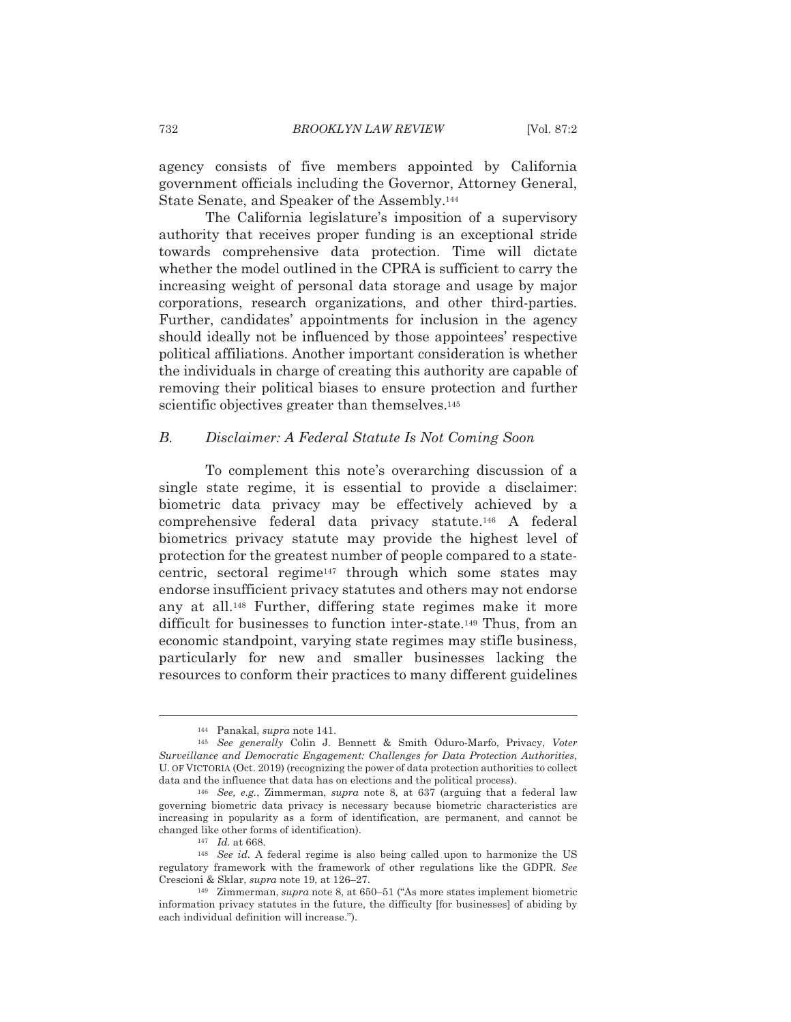agency consists of five members appointed by California government officials including the Governor, Attorney General, State Senate, and Speaker of the Assembly.<sup>144</sup>

The California legislature's imposition of a supervisory authority that receives proper funding is an exceptional stride towards comprehensive data protection. Time will dictate whether the model outlined in the CPRA is sufficient to carry the increasing weight of personal data storage and usage by major corporations, research organizations, and other third-parties. Further, candidates' appointments for inclusion in the agency should ideally not be influenced by those appointees' respective political affiliations. Another important consideration is whether the individuals in charge of creating this authority are capable of removing their political biases to ensure protection and further scientific objectives greater than themselves.<sup>145</sup>

#### $B<sub>1</sub>$ Disclaimer: A Federal Statute Is Not Coming Soon

To complement this note's overarching discussion of a single state regime, it is essential to provide a disclaimer: biometric data privacy may be effectively achieved by a comprehensive federal data privacy statute.<sup>146</sup> A federal biometrics privacy statute may provide the highest level of protection for the greatest number of people compared to a statecentric, sectoral regime<sup>147</sup> through which some states may endorse insufficient privacy statutes and others may not endorse any at all.<sup>148</sup> Further, differing state regimes make it more difficult for businesses to function inter-state.<sup>149</sup> Thus, from an economic standpoint, varying state regimes may stifle business. particularly for new and smaller businesses lacking the resources to conform their practices to many different guidelines

<sup>&</sup>lt;sup>144</sup> Panakal, *supra* note 141.

<sup>&</sup>lt;sup>145</sup> See generally Colin J. Bennett & Smith Oduro-Marfo, Privacy, Voter Surveillance and Democratic Engagement: Challenges for Data Protection Authorities, U. OF VICTORIA (Oct. 2019) (recognizing the power of data protection authorities to collect data and the influence that data has on elections and the political process).

<sup>146</sup> See, e.g., Zimmerman, supra note 8, at 637 (arguing that a federal law governing biometric data privacy is necessary because biometric characteristics are increasing in popularity as a form of identification, are permanent, and cannot be changed like other forms of identification).

 $147$  *Id.* at 668.

 $148$  See id. A federal regime is also being called upon to harmonize the US regulatory framework with the framework of other regulations like the GDPR. See Crescioni & Sklar, supra note 19, at 126-27.

<sup>&</sup>lt;sup>149</sup> Zimmerman, *supra* note 8, at 650–51 ("As more states implement biometric information privacy statutes in the future, the difficulty [for businesses] of abiding by each individual definition will increase.").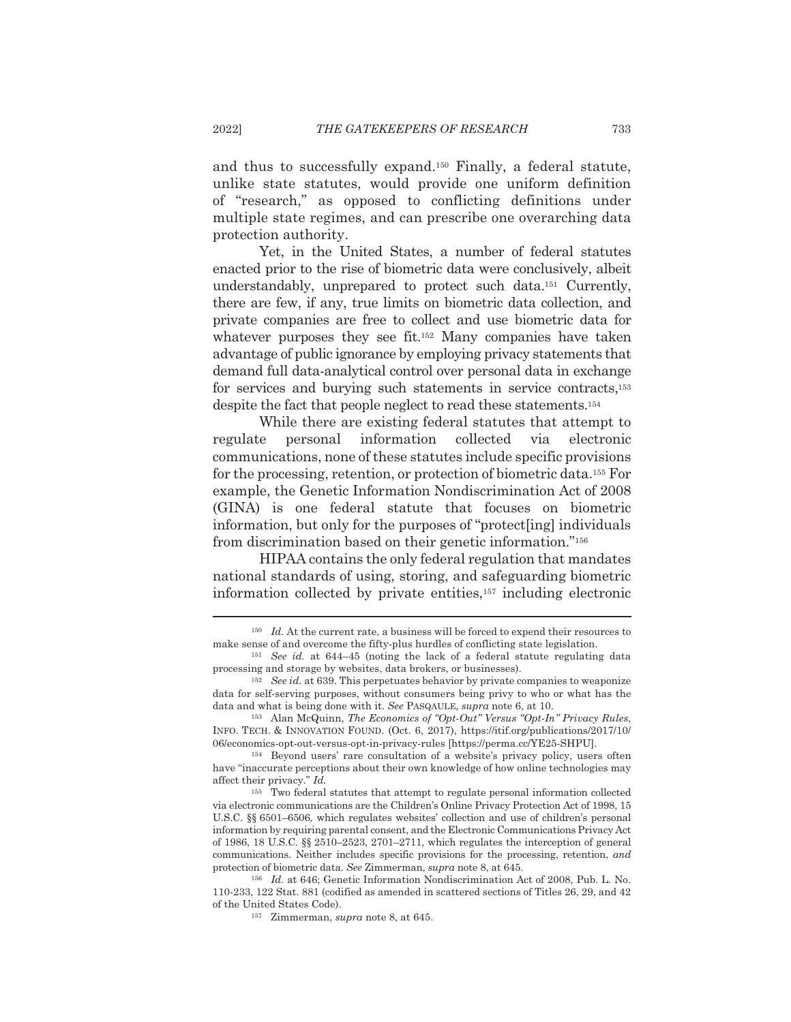and thus to successfully expand.<sup>150</sup> Finally, a federal statute, unlike state statutes, would provide one uniform definition of "research," as opposed to conflicting definitions under multiple state regimes, and can prescribe one overarching data protection authority.

Yet, in the United States, a number of federal statutes enacted prior to the rise of biometric data were conclusively, albeit understandably, unprepared to protect such data.<sup>151</sup> Currently, there are few, if any, true limits on biometric data collection, and private companies are free to collect and use biometric data for whatever purposes they see fit.<sup>152</sup> Many companies have taken advantage of public ignorance by employing privacy statements that demand full data-analytical control over personal data in exchange for services and burying such statements in service contracts,<sup>153</sup> despite the fact that people neglect to read these statements.<sup>154</sup>

While there are existing federal statutes that attempt to regulate personal information collected via electronic communications, none of these statutes include specific provisions for the processing, retention, or protection of biometric data.<sup>155</sup> For example, the Genetic Information Nondiscrimination Act of 2008 (GINA) is one federal statute that focuses on biometric information, but only for the purposes of "protect[ing] individuals from discrimination based on their genetic information."<sup>156</sup>

HIPAA contains the only federal regulation that mandates national standards of using, storing, and safeguarding biometric information collected by private entities,<sup>157</sup> including electronic

 $150$  *Id.* At the current rate, a business will be forced to expend their resources to make sense of and overcome the fifty-plus hurdles of conflicting state legislation.

 $151$  See id. at 644-45 (noting the lack of a federal statute regulating data processing and storage by websites, data brokers, or businesses).

 $152$  See id. at 639. This perpetuates behavior by private companies to we aponize data for self-serving purposes, without consumers being privy to who or what has the data and what is being done with it. See PASQAULE, supra note 6, at 10.

<sup>&</sup>lt;sup>153</sup> Alan McQuinn, The Economics of "Opt-Out" Versus "Opt-In" Privacy Rules, INFO. TECH. & INNOVATION FOUND. (Oct. 6, 2017), https://itif.org/publications/2017/10/ 06/economics-opt-out-versus-opt-in-privacy-rules [https://perma.cc/YE25-SHPU].

<sup>&</sup>lt;sup>154</sup> Beyond users' rare consultation of a website's privacy policy, users often have "inaccurate perceptions about their own knowledge of how online technologies may affect their privacy." Id.

<sup>&</sup>lt;sup>155</sup> Two federal statutes that attempt to regulate personal information collected via electronic communications are the Children's Online Privacy Protection Act of 1998, 15 U.S.C. §§ 6501–6506, which regulates websites' collection and use of children's personal information by requiring parental consent, and the Electronic Communications Privacy Act of 1986, 18 U.S.C. §§ 2510–2523, 2701–2711, which regulates the interception of general communications. Neither includes specific provisions for the processing, retention, and protection of biometric data. See Zimmerman, supra note 8, at 645.

<sup>156</sup> Id. at 646; Genetic Information Nondiscrimination Act of 2008, Pub. L. No. 110-233, 122 Stat. 881 (codified as amended in scattered sections of Titles 26, 29, and 42 of the United States Code).

<sup>&</sup>lt;sup>157</sup> Zimmerman, *supra* note 8, at 645.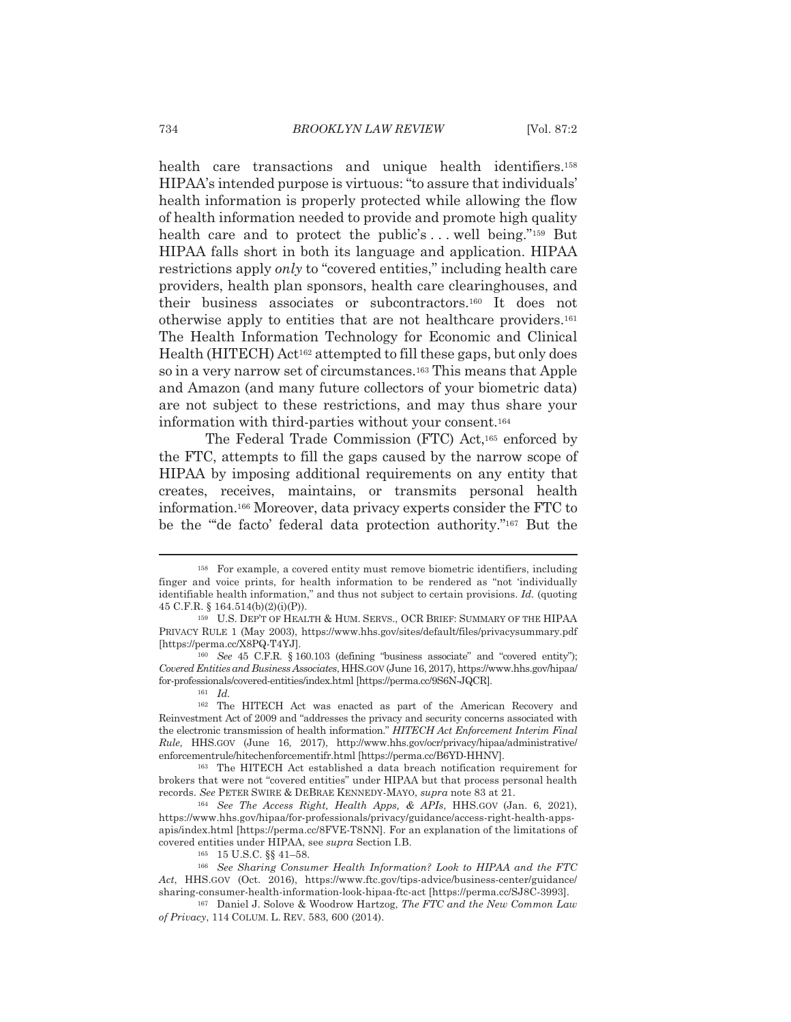health care transactions and unique health identifiers.<sup>158</sup> HIPAA's intended purpose is virtuous: "to assure that individuals' health information is properly protected while allowing the flow of health information needed to provide and promote high quality health care and to protect the public's... well being."<sup>159</sup> But HIPAA falls short in both its language and application. HIPAA restrictions apply only to "covered entities," including health care providers, health plan sponsors, health care clearinghouses, and their business associates or subcontractors.<sup>160</sup> It does not otherwise apply to entities that are not healthcare providers.<sup>161</sup> The Health Information Technology for Economic and Clinical Health (HITECH) Act<sup>162</sup> attempted to fill these gaps, but only does so in a very narrow set of circumstances.<sup>163</sup> This means that Apple and Amazon (and many future collectors of your biometric data) are not subject to these restrictions, and may thus share your information with third-parties without your consent.<sup>164</sup>

The Federal Trade Commission (FTC) Act,<sup>165</sup> enforced by the FTC, attempts to fill the gaps caused by the narrow scope of HIPAA by imposing additional requirements on any entity that creates, receives, maintains, or transmits personal health information.<sup>166</sup> Moreover, data privacy experts consider the FTC to be the ""de facto' federal data protection authority."<sup>167</sup> But the

<sup>&</sup>lt;sup>158</sup> For example, a covered entity must remove biometric identifiers, including finger and voice prints, for health information to be rendered as "not 'individually identifiable health information," and thus not subject to certain provisions. Id. (quoting 45 C.F.R.  $\{ 164.514(b)(2)(i)(P) \}$ .

<sup>&</sup>lt;sup>159</sup> U.S. DEP'T OF HEALTH & HUM. SERVS., OCR BRIEF: SUMMARY OF THE HIPAA PRIVACY RULE 1 (May 2003), https://www.hhs.gov/sites/default/files/privacysummary.pdf [https://perma.cc/X8PQ-T4YJ].

<sup>&</sup>lt;sup>160</sup> See 45 C.F.R. § 160.103 (defining "business associate" and "covered entity"); Covered Entities and Business Associates, HHS.GOV (June 16, 2017), https://www.hhs.gov/hipaa/ for-professionals/covered-entities/index.html [https://perma.cc/9S6N-JQCR].

 $161$  *Id.* 

<sup>&</sup>lt;sup>162</sup> The HITECH Act was enacted as part of the American Recovery and Reinvestment Act of 2009 and "addresses the privacy and security concerns associated with the electronic transmission of health information." HITECH Act Enforcement Interim Final Rule, HHS.GOV (June 16, 2017), http://www.hhs.gov/ocr/privacy/hipaa/administrative/ enforcementrule/hitechenforcementifr.html [https://perma.cc/B6YD-HHNV].

<sup>&</sup>lt;sup>163</sup> The HITECH Act established a data breach notification requirement for brokers that were not "covered entities" under HIPAA but that process personal health records. See PETER SWIRE & DEBRAE KENNEDY-MAYO, supra note 83 at 21.

<sup>&</sup>lt;sup>164</sup> See The Access Right, Health Apps, & APIs, HHS.GOV (Jan. 6, 2021), https://www.hhs.gov/hipaa/for-professionals/privacy/guidance/access-right-health-appsapis/index.html [https://perma.cc/8FVE-T8NN]. For an explanation of the limitations of covered entities under HIPAA, see supra Section I.B.

<sup>165 15</sup> U.S.C. §§ 41-58.

<sup>&</sup>lt;sup>166</sup> See Sharing Consumer Health Information? Look to HIPAA and the FTC Act, HHS.GOV (Oct. 2016), https://www.ftc.gov/tips-advice/business-center/guidance/ sharing-consumer-health-information-look-hipaa-ftc-act [https://perma.cc/SJ8C-3993].

<sup>&</sup>lt;sup>167</sup> Daniel J. Solove & Woodrow Hartzog, The FTC and the New Common Law of Privacy, 114 COLUM. L. REV. 583, 600 (2014).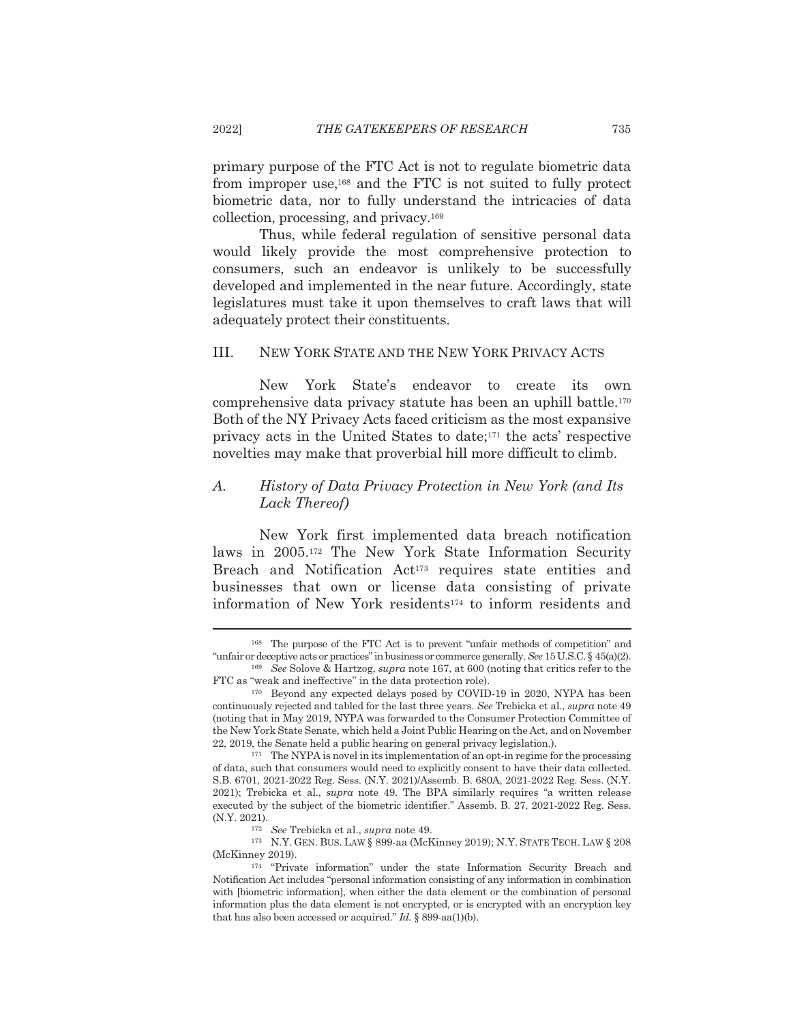primary purpose of the FTC Act is not to regulate biometric data from improper use,<sup>168</sup> and the FTC is not suited to fully protect biometric data, nor to fully understand the intricacies of data collection, processing, and privacy.<sup>169</sup>

Thus, while federal regulation of sensitive personal data would likely provide the most comprehensive protection to consumers, such an endeavor is unlikely to be successfully developed and implemented in the near future. Accordingly, state legislatures must take it upon themselves to craft laws that will adequately protect their constituents.

#### III. NEW YORK STATE AND THE NEW YORK PRIVACY ACTS

**New** York State's endeavor to create its own comprehensive data privacy statute has been an uphill battle.<sup>170</sup> Both of the NY Privacy Acts faced criticism as the most expansive privacy acts in the United States to date;<sup>171</sup> the acts' respective novelties may make that proverbial hill more difficult to climb.

### History of Data Privacy Protection in New York (and Its A. Lack Thereof)

New York first implemented data breach notification laws in 2005.<sup>172</sup> The New York State Information Security Breach and Notification Act<sup>173</sup> requires state entities and businesses that own or license data consisting of private information of New York residents<sup>174</sup> to inform residents and

<sup>&</sup>lt;sup>168</sup> The purpose of the FTC Act is to prevent "unfair methods of competition" and "unfair or deceptive acts or practices" in business or commerce generally. See 15 U.S.C.  $\S$  45(a)(2).

<sup>&</sup>lt;sup>169</sup> See Solove & Hartzog, *supra* note 167, at 600 (noting that critics refer to the FTC as "weak and ineffective" in the data protection role).

<sup>&</sup>lt;sup>170</sup> Beyond any expected delays posed by COVID-19 in 2020, NYPA has been continuously rejected and tabled for the last three years. See Trebicka et al., supra note 49 (noting that in May 2019, NYPA was forwarded to the Consumer Protection Committee of the New York State Senate, which held a Joint Public Hearing on the Act, and on November 22, 2019, the Senate held a public hearing on general privacy legislation.).

 $171$  The NYPA is novel in its implementation of an opt-in regime for the processing of data, such that consumers would need to explicitly consent to have their data collected. S.B. 6701, 2021-2022 Reg. Sess. (N.Y. 2021)/Assemb. B. 680A, 2021-2022 Reg. Sess. (N.Y. 2021); Trebicka et al., *supra* note 49. The BPA similarly requires "a written release executed by the subject of the biometric identifier." Assemb. B. 27, 2021-2022 Reg. Sess. (N.Y. 2021).

<sup>&</sup>lt;sup>172</sup> See Trebicka et al., supra note 49.

<sup>&</sup>lt;sup>173</sup> N.Y. GEN. BUS. LAW § 899-aa (McKinney 2019); N.Y. STATE TECH. LAW § 208 (McKinney 2019).

 $174$  "Private information" under the state Information Security Breach and Notification Act includes "personal information consisting of any information in combination with [biometric information], when either the data element or the combination of personal information plus the data element is not encrypted, or is encrypted with an encryption key that has also been accessed or acquired." Id.  $\S 899$ -aa(1)(b).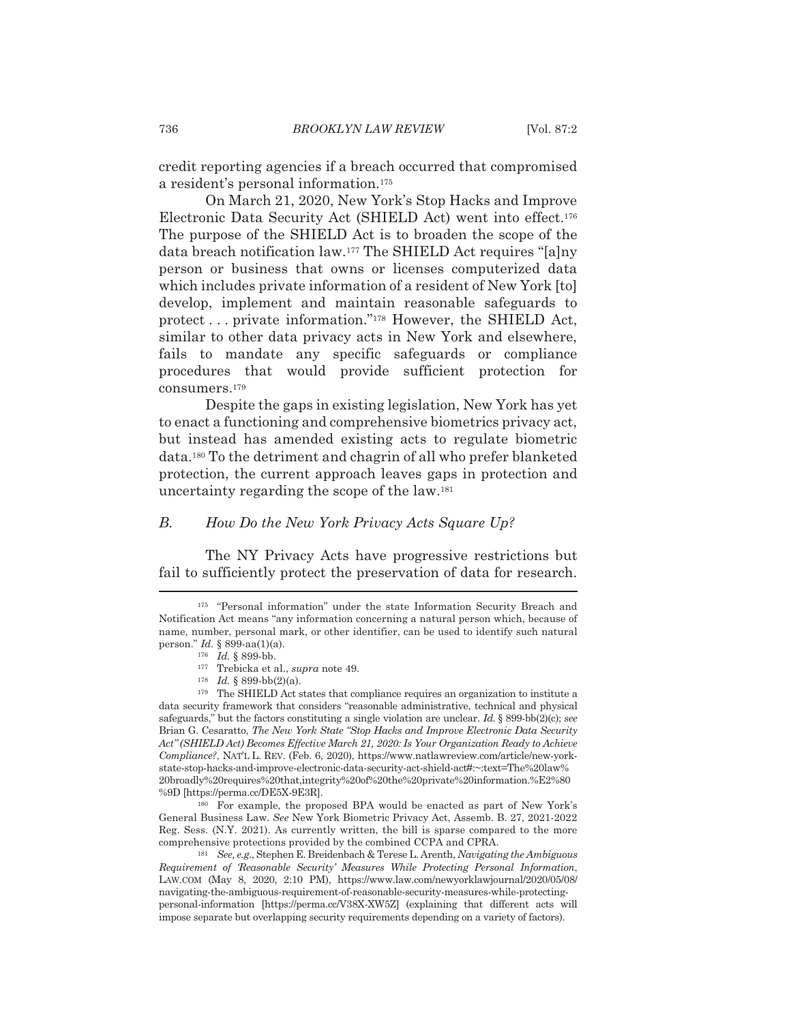credit reporting agencies if a breach occurred that compromised a resident's personal information.<sup>175</sup>

On March 21, 2020, New York's Stop Hacks and Improve Electronic Data Security Act (SHIELD Act) went into effect.<sup>176</sup> The purpose of the SHIELD Act is to broaden the scope of the data breach notification law.<sup>177</sup> The SHIELD Act requires "[a]ny person or business that owns or licenses computerized data which includes private information of a resident of New York [to] develop, implement and maintain reasonable safeguards to protect...private information."<sup>178</sup> However, the SHIELD Act, similar to other data privacy acts in New York and elsewhere, fails to mandate any specific safeguards or compliance procedures that would provide sufficient protection for consumers.<sup>179</sup>

Despite the gaps in existing legislation, New York has yet to enact a functioning and comprehensive biometrics privacy act. but instead has amended existing acts to regulate biometric data.<sup>180</sup> To the detriment and chagrin of all who prefer blanketed protection, the current approach leaves gaps in protection and uncertainty regarding the scope of the law.<sup>181</sup>

#### В. How Do the New York Privacy Acts Square Up?

The NY Privacy Acts have progressive restrictions but fail to sufficiently protect the preservation of data for research.

<sup>180</sup> For example, the proposed BPA would be enacted as part of New York's General Business Law. See New York Biometric Privacy Act, Assemb. B. 27, 2021-2022 Reg. Sess. (N.Y. 2021). As currently written, the bill is sparse compared to the more comprehensive protections provided by the combined CCPA and CPRA.

<sup>181</sup> See, e.g., Stephen E. Breidenbach & Terese L. Arenth, *Navigating the Ambiguous* Requirement of Reasonable Security' Measures While Protecting Personal Information, LAW.COM (May 8, 2020, 2:10 PM), https://www.law.com/newyorklawjournal/2020/05/08/ navigating-the-ambiguous-requirement-of-reasonable-security-measures-while-protectingpersonal-information [https://perma.cc/V38X-XW5Z] (explaining that different acts will impose separate but overlapping security requirements depending on a variety of factors).

<sup>&</sup>lt;sup>175</sup> "Personal information" under the state Information Security Breach and Notification Act means "any information concerning a natural person which, because of name, number, personal mark, or other identifier, can be used to identify such natural person." *Id.* § 899-aa $(1)(a)$ .

 $176$  *Id.* § 899-bb.

 $^{177}$  Trebicka et al.,  $supra$  note 49.

<sup>&</sup>lt;sup>178</sup> *Id.* § 899-bb(2)(a).

 $179$  The SHIELD Act states that compliance requires an organization to institute a data security framework that considers "reasonable administrative, technical and physical safeguards," but the factors constituting a single violation are unclear. Id. § 899-bb(2)(c); see Brian G. Cesaratto, The New York State "Stop Hacks and Improve Electronic Data Security Act" (SHIELD Act) Becomes Effective March 21, 2020: Is Your Organization Ready to Achieve Compliance?, NAT'L L. REV. (Feb. 6, 2020), https://www.natlawreview.com/article/new-yorkstate-stop-hacks-and-improve-electronic-data-security-act-shield-act#:~:text=The%20law% 20broadly%20requires%20that,integrity%20of%20the%20private%20information.%E2%80 %9D [https://perma.cc/DE5X-9E3R].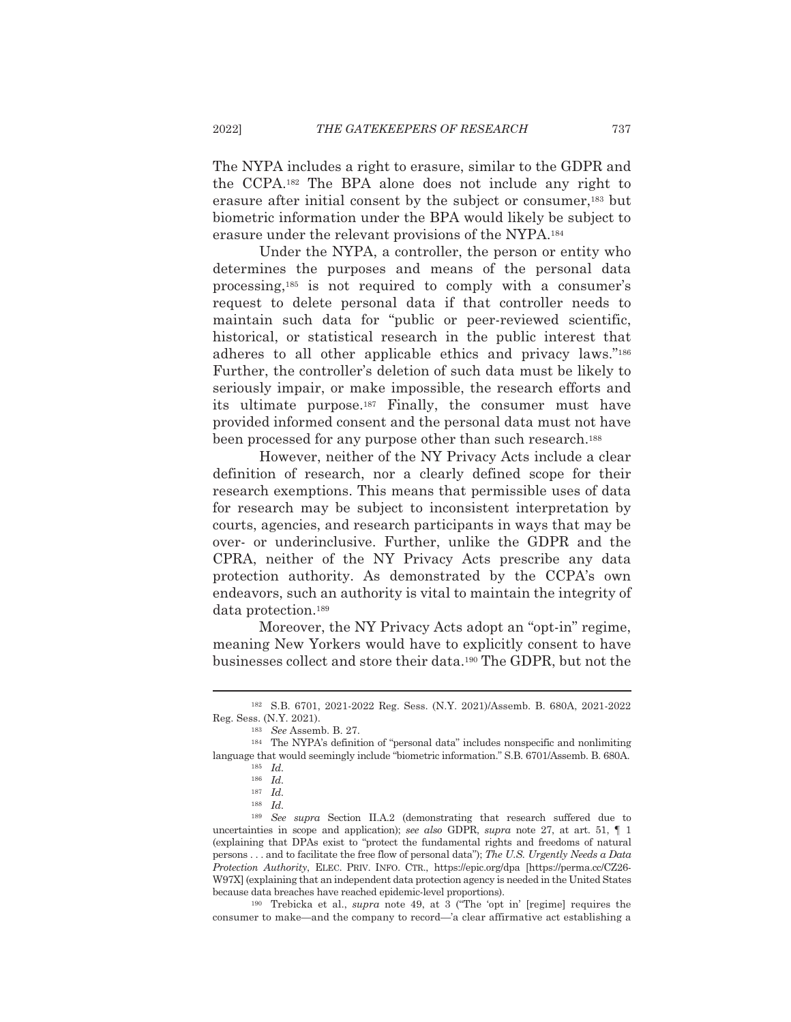The NYPA includes a right to erasure, similar to the GDPR and the CCPA.<sup>182</sup> The BPA alone does not include any right to erasure after initial consent by the subject or consumer,<sup>183</sup> but biometric information under the BPA would likely be subject to erasure under the relevant provisions of the NYPA.<sup>184</sup>

Under the NYPA, a controller, the person or entity who determines the purposes and means of the personal data processing,<sup>185</sup> is not required to comply with a consumer's request to delete personal data if that controller needs to maintain such data for "public or peer-reviewed scientific, historical, or statistical research in the public interest that adheres to all other applicable ethics and privacy laws."186 Further, the controller's deletion of such data must be likely to seriously impair, or make impossible, the research efforts and its ultimate purpose.<sup>187</sup> Finally, the consumer must have provided informed consent and the personal data must not have been processed for any purpose other than such research.<sup>188</sup>

However, neither of the NY Privacy Acts include a clear definition of research, nor a clearly defined scope for their research exemptions. This means that permissible uses of data for research may be subject to inconsistent interpretation by courts, agencies, and research participants in ways that may be over- or underinclusive. Further, unlike the GDPR and the CPRA, neither of the NY Privacy Acts prescribe any data protection authority. As demonstrated by the CCPA's own endeavors, such an authority is vital to maintain the integrity of data protection.<sup>189</sup>

Moreover, the NY Privacy Acts adopt an "opt-in" regime, meaning New Yorkers would have to explicitly consent to have businesses collect and store their data.<sup>190</sup> The GDPR, but not the

 $190$  Trebicka et al., *supra* note 49, at 3 ("The 'opt in' [regime] requires the consumer to make—and the company to record—'a clear affirmative act establishing a

<sup>182</sup> S.B. 6701, 2021-2022 Reg. Sess. (N.Y. 2021)/Assemb. B. 680A, 2021-2022 Reg. Sess. (N.Y. 2021).

 $^{183}$   $\,$  See Assemb. B. 27.

<sup>&</sup>lt;sup>184</sup> The NYPA's definition of "personal data" includes nonspecific and nonlimiting language that would seemingly include "biometric information." S.B. 6701/Assemb. B. 680A.

 $185$  *Id.* 

 $186$  *Id.* 

 $187$  *Id.* 

 $188$  *Id.* 

<sup>&</sup>lt;sup>189</sup> See supra Section II.A.2 (demonstrating that research suffered due to uncertainties in scope and application); see also GDPR, supra note 27, at art. 51,  $\P$  1 (explaining that DPAs exist to "protect the fundamental rights and freedoms of natural persons . . . and to facilitate the free flow of personal data"); The U.S. Urgently Needs a Data Protection Authority, ELEC. PRIV. INFO. CTR., https://epic.org/dpa [https://perma.cc/CZ26-W97X] (explaining that an independent data protection agency is needed in the United States because data breaches have reached epidemic-level proportions).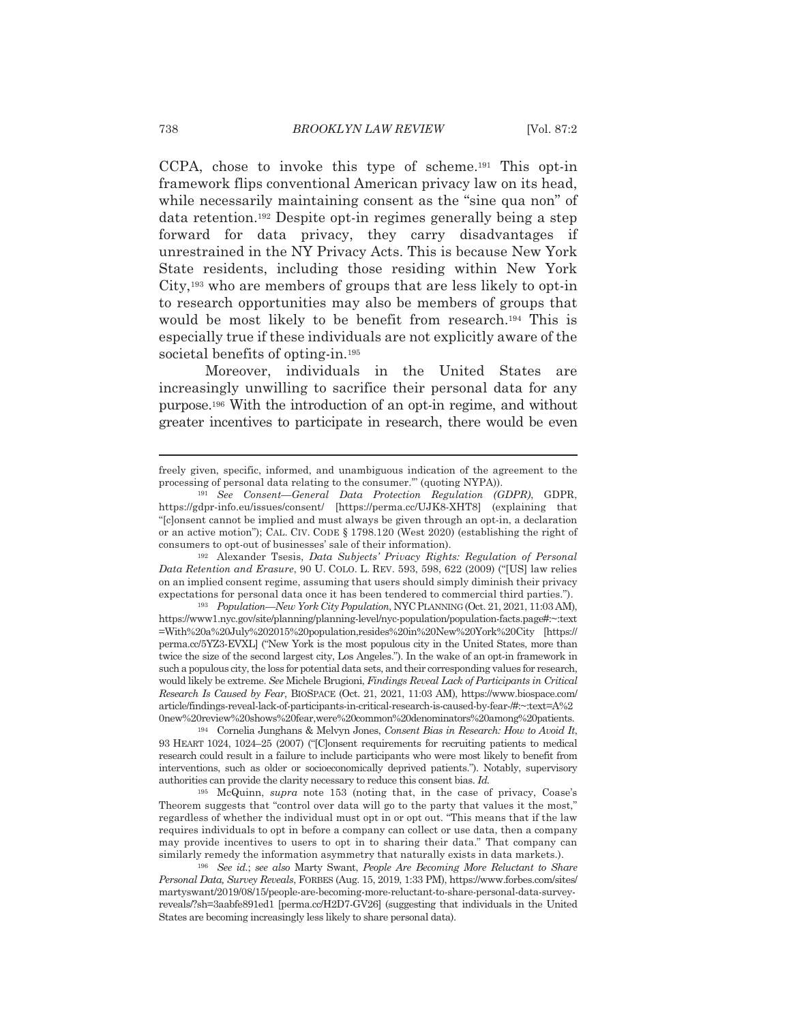CCPA, chose to invoke this type of scheme.<sup>191</sup> This opt-in framework flips conventional American privacy law on its head, while necessarily maintaining consent as the "sine qua non" of data retention.<sup>192</sup> Despite opt-in regimes generally being a step forward for data privacy, they carry disadvantages if unrestrained in the NY Privacy Acts. This is because New York State residents, including those residing within New York  $City.$ <sup>193</sup> who are members of groups that are less likely to opt-in to research opportunities may also be members of groups that would be most likely to be benefit from research.<sup>194</sup> This is especially true if these individuals are not explicitly aware of the societal benefits of opting-in.<sup>195</sup>

Moreover, individuals in the United States are increasingly unwilling to sacrifice their personal data for any purpose.<sup>196</sup> With the introduction of an opt-in regime, and without greater incentives to participate in research, there would be even

<sup>193</sup> Population—New York City Population, NYC PLANNING (Oct. 21, 2021, 11:03 AM), https://www1.nyc.gov/site/planning/planning-level/nyc-population/population-facts.page#:~:text =With%20a%20July%202015%20population.resides%20in%20New%20York%20City [https:// perma.cc/5YZ3-EVXL] ("New York is the most populous city in the United States, more than twice the size of the second largest city, Los Angeles."). In the wake of an opt-in framework in such a populous city, the loss for potential data sets, and their corresponding values for research, would likely be extreme. See Michele Brugioni, Findings Reveal Lack of Participants in Critical Research Is Caused by Fear, BIOSPACE (Oct. 21, 2021, 11:03 AM), https://www.biospace.com/ article/findings-reveal-lack-of-participants-in-critical-research-is-caused-by-fear-#:~:text=A%2 0new%20review%20shows%20fear,were%20common%20denominators%20among%20patients.

<sup>194</sup> Cornelia Junghans & Melvyn Jones, Consent Bias in Research: How to Avoid It, 93 HEART 1024, 1024-25 (2007) ("[C]onsent requirements for recruiting patients to medical research could result in a failure to include participants who were most likely to benefit from interventions, such as older or socioeconomically deprived patients."). Notably, supervisory authorities can provide the clarity necessary to reduce this consent bias. Id.

195 McQuinn, *supra* note 153 (noting that, in the case of privacy, Coase's Theorem suggests that "control over data will go to the party that values it the most," regardless of whether the individual must opt in or opt out. "This means that if the law requires individuals to opt in before a company can collect or use data, then a company may provide incentives to users to opt in to sharing their data." That company can similarly remedy the information asymmetry that naturally exists in data markets.).

<sup>196</sup> See id.; see also Marty Swant, People Are Becoming More Reluctant to Share Personal Data, Survey Reveals, FORBES (Aug. 15, 2019, 1:33 PM), https://www.forbes.com/sites/ martyswant/2019/08/15/people-are-becoming-more-reluctant-to-share-personal-data-surveyreveals/?sh=3aabfe891ed1 [perma.cc/H2D7-GV26] (suggesting that individuals in the United States are becoming increasingly less likely to share personal data).

freely given, specific, informed, and unambiguous indication of the agreement to the processing of personal data relating to the consumer." (quoting NYPA)).

<sup>&</sup>lt;sup>191</sup> See Consent-General Data Protection Regulation (GDPR), GDPR, https://gdpr-info.eu/issues/consent/ [https://perma.cc/UJK8-XHT8] (explaining that "[c]onsent cannot be implied and must always be given through an opt-in, a declaration or an active motion"); CAL. CIV. CODE § 1798.120 (West 2020) (establishing the right of consumers to opt-out of businesses' sale of their information).

<sup>&</sup>lt;sup>192</sup> Alexander Tsesis, Data Subjects' Privacy Rights: Regulation of Personal Data Retention and Erasure, 90 U. COLO. L. REV. 593, 598, 622 (2009) ("[US] law relies on an implied consent regime, assuming that users should simply diminish their privacy expectations for personal data once it has been tendered to commercial third parties.").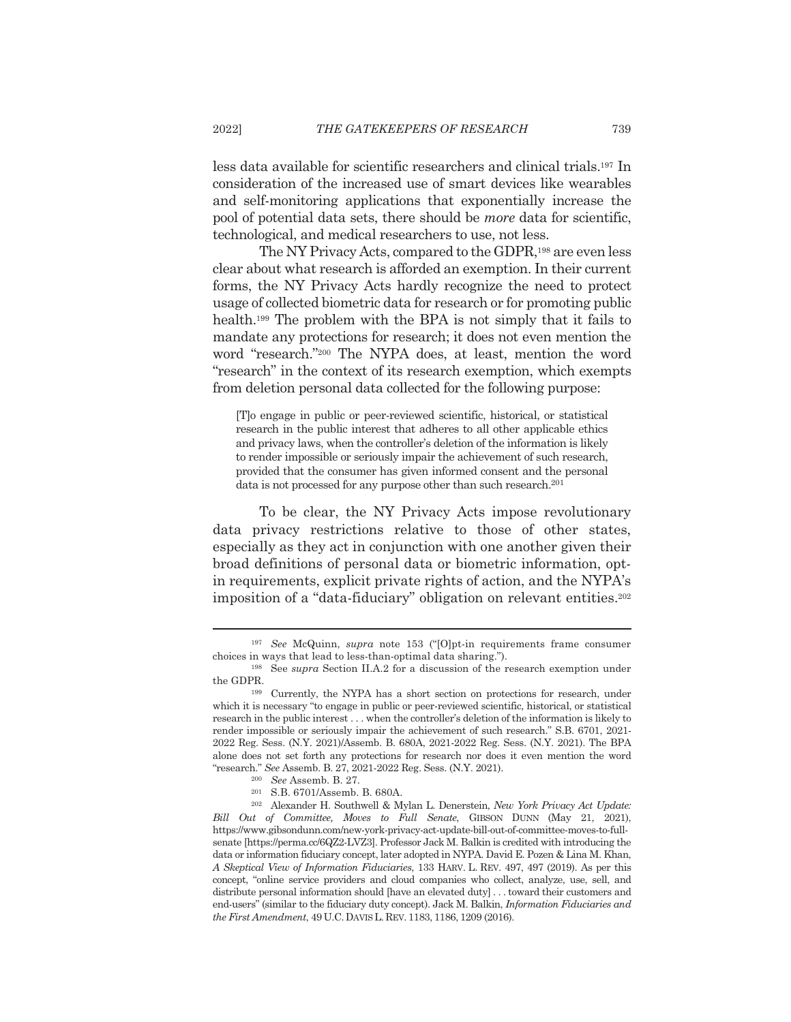less data available for scientific researchers and clinical trials.<sup>197</sup> In consideration of the increased use of smart devices like wearables and self-monitoring applications that exponentially increase the pool of potential data sets, there should be *more* data for scientific, technological, and medical researchers to use, not less.

The NY Privacy Acts, compared to the GDPR,<sup>198</sup> are even less clear about what research is afforded an exemption. In their current forms, the NY Privacy Acts hardly recognize the need to protect usage of collected biometric data for research or for promoting public health.<sup>199</sup> The problem with the BPA is not simply that it fails to mandate any protections for research; it does not even mention the word "research."200 The NYPA does, at least, mention the word "research" in the context of its research exemption, which exempts from deletion personal data collected for the following purpose:

[T] o engage in public or peer-reviewed scientific, historical, or statistical research in the public interest that adheres to all other applicable ethics and privacy laws, when the controller's deletion of the information is likely to render impossible or seriously impair the achievement of such research. provided that the consumer has given informed consent and the personal data is not processed for any purpose other than such research.<sup>201</sup>

To be clear, the NY Privacy Acts impose revolutionary data privacy restrictions relative to those of other states, especially as they act in conjunction with one another given their broad definitions of personal data or biometric information, optin requirements, explicit private rights of action, and the NYPA's imposition of a "data-fiduciary" obligation on relevant entities.<sup>202</sup>

<sup>&</sup>lt;sup>197</sup> See McQuinn, *supra* note 153 ("[O]pt-in requirements frame consumer choices in ways that lead to less-than-optimal data sharing.").

<sup>&</sup>lt;sup>198</sup> See *supra* Section II.A.2 for a discussion of the research exemption under the GDPR.

<sup>&</sup>lt;sup>199</sup> Currently, the NYPA has a short section on protections for research, under which it is necessary "to engage in public or peer-reviewed scientific, historical, or statistical research in the public interest . . . when the controller's deletion of the information is likely to render impossible or seriously impair the achievement of such research." S.B. 6701, 2021-2022 Reg. Sess. (N.Y. 2021)/Assemb. B. 680A, 2021-2022 Reg. Sess. (N.Y. 2021). The BPA alone does not set forth any protections for research nor does it even mention the word "research." See Assemb. B. 27, 2021-2022 Reg. Sess. (N.Y. 2021).

<sup>&</sup>lt;sup>200</sup> See Assemb. B. 27.

<sup>&</sup>lt;sup>201</sup> S.B. 6701/Assemb. B. 680A.

 $^{202}$  Alexander H. Southwell & Mylan L. Denerstein, New York Privacy Act Update: Bill Out of Committee, Moves to Full Senate, GIBSON DUNN (May 21, 2021), https://www.gibsondunn.com/new-york-privacy-act-update-bill-out-of-committee-moves-to-fullsenate [https://perma.cc/6QZ2-LVZ3]. Professor Jack M. Balkin is credited with introducing the data or information fiduciary concept, later adopted in NYPA. David E. Pozen & Lina M. Khan, A Skeptical View of Information Fiduciaries, 133 HARV. L. REV. 497, 497 (2019). As per this concept, "online service providers and cloud companies who collect, analyze, use, sell, and distribute personal information should [have an elevated duty] ... toward their customers and end-users" (similar to the fiduciary duty concept). Jack M. Balkin, *Information Fiduciaries and* the First Amendment, 49 U.C. DAVIS L. REV. 1183, 1186, 1209 (2016).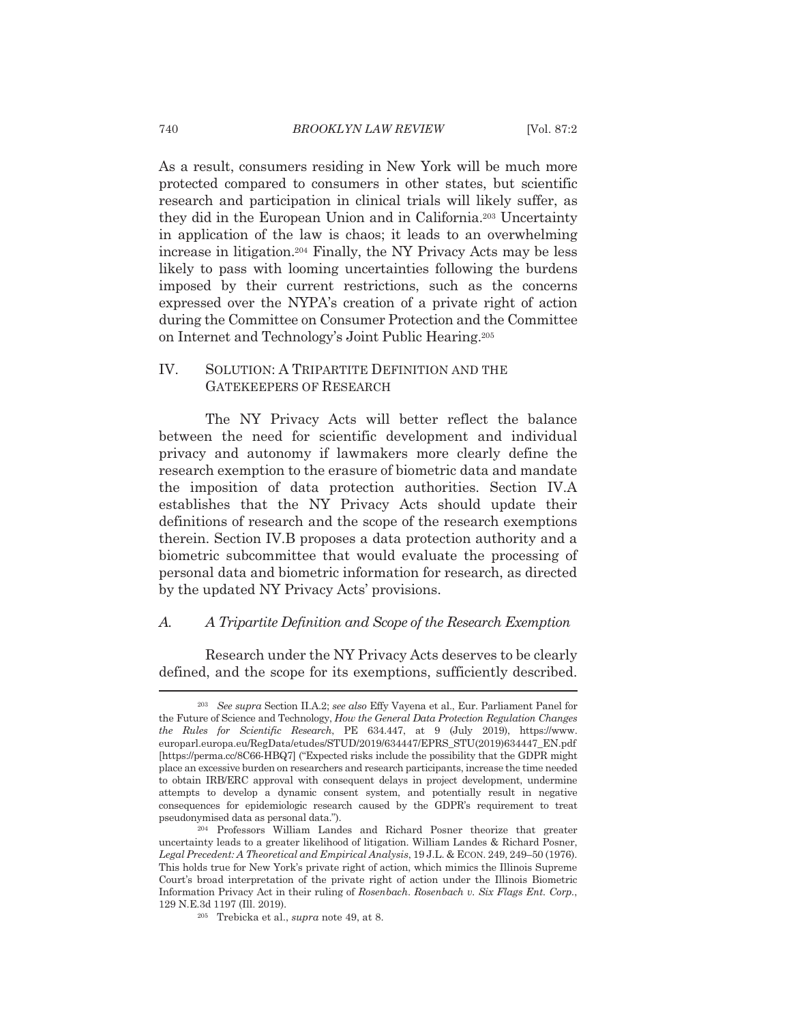As a result, consumers residing in New York will be much more protected compared to consumers in other states, but scientific research and participation in clinical trials will likely suffer, as they did in the European Union and in California.<sup>203</sup> Uncertainty in application of the law is chaos; it leads to an overwhelming increase in litigation.<sup>204</sup> Finally, the NY Privacy Acts may be less likely to pass with looming uncertainties following the burdens imposed by their current restrictions, such as the concerns expressed over the NYPA's creation of a private right of action during the Committee on Consumer Protection and the Committee on Internet and Technology's Joint Public Hearing.<sup>205</sup>

### IV. SOLUTION: A TRIPARTITE DEFINITION AND THE **GATEKEEPERS OF RESEARCH**

The NY Privacy Acts will better reflect the balance between the need for scientific development and individual privacy and autonomy if lawmakers more clearly define the research exemption to the erasure of biometric data and mandate the imposition of data protection authorities. Section IV.A establishes that the NY Privacy Acts should update their definitions of research and the scope of the research exemptions therein. Section IV.B proposes a data protection authority and a biometric subcommittee that would evaluate the processing of personal data and biometric information for research, as directed by the updated NY Privacy Acts' provisions.

#### A Tripartite Definition and Scope of the Research Exemption А.

Research under the NY Privacy Acts deserves to be clearly defined, and the scope for its exemptions, sufficiently described.

<sup>&</sup>lt;sup>203</sup> See supra Section II.A.2: see also Effy Vavena et al., Eur. Parliament Panel for the Future of Science and Technology, How the General Data Protection Regulation Changes the Rules for Scientific Research, PE 634.447, at 9 (July 2019), https://www. europarl.europa.eu/RegData/etudes/STUD/2019/634447/EPRS STU(2019)634447 EN.pdf [https://perma.cc/8C66-HBQ7] ("Expected risks include the possibility that the GDPR might place an excessive burden on researchers and research participants, increase the time needed to obtain IRB/ERC approval with consequent delays in project development, undermine attempts to develop a dynamic consent system, and potentially result in negative consequences for epidemiologic research caused by the GDPR's requirement to treat pseudonymised data as personal data.").

<sup>&</sup>lt;sup>204</sup> Professors William Landes and Richard Posner theorize that greater uncertainty leads to a greater likelihood of litigation. William Landes & Richard Posner, Legal Precedent: A Theoretical and Empirical Analysis, 19 J.L. & ECON. 249, 249-50 (1976). This holds true for New York's private right of action, which mimics the Illinois Supreme Court's broad interpretation of the private right of action under the Illinois Biometric Information Privacy Act in their ruling of Rosenbach. Rosenbach v. Six Flags Ent. Corp., 129 N.E.3d 1197 (Ill. 2019).

<sup>&</sup>lt;sup>205</sup> Trebicka et al., *supra* note 49, at 8.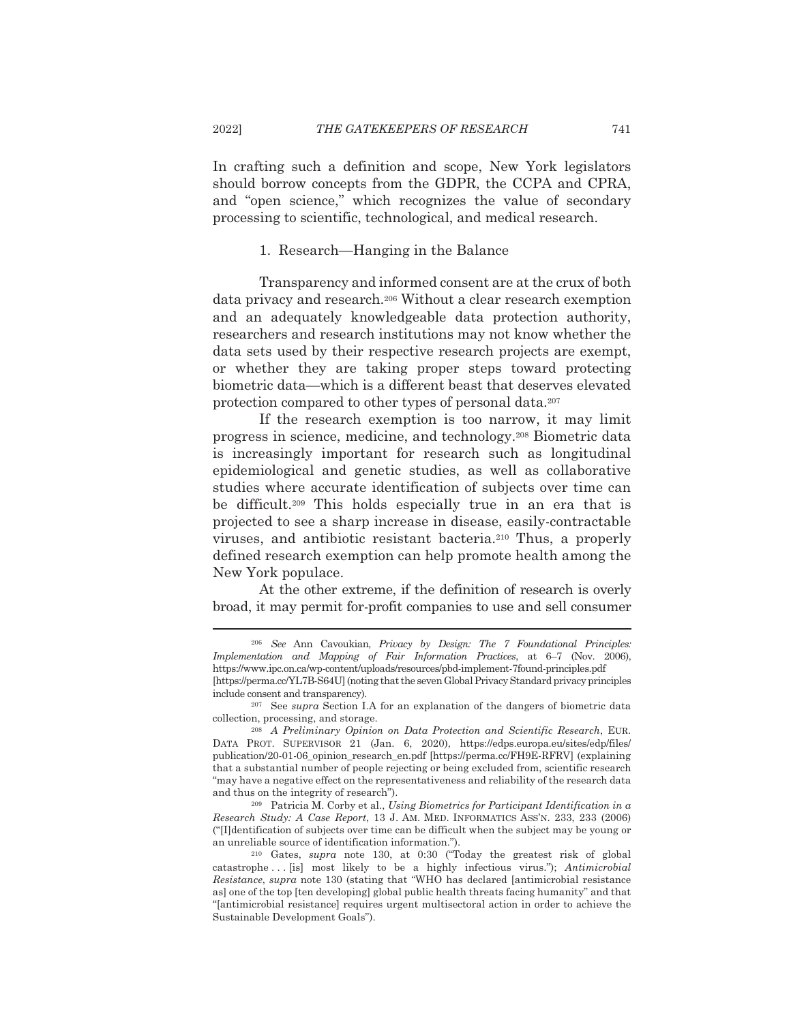In crafting such a definition and scope, New York legislators should borrow concepts from the GDPR, the CCPA and CPRA, and "open science," which recognizes the value of secondary processing to scientific, technological, and medical research.

### 1. Research—Hanging in the Balance

Transparency and informed consent are at the crux of both data privacy and research.<sup>206</sup> Without a clear research exemption and an adequately knowledgeable data protection authority, researchers and research institutions may not know whether the data sets used by their respective research projects are exempt, or whether they are taking proper steps toward protecting biometric data—which is a different beast that deserves elevated protection compared to other types of personal data.<sup>207</sup>

If the research exemption is too narrow, it may limit progress in science, medicine, and technology.<sup>208</sup> Biometric data is increasingly important for research such as longitudinal epidemiological and genetic studies, as well as collaborative studies where accurate identification of subjects over time can be difficult.<sup>209</sup> This holds especially true in an era that is projected to see a sharp increase in disease, easily-contractable viruses, and antibiotic resistant bacteria.<sup>210</sup> Thus, a properly defined research exemption can help promote health among the New York populace.

At the other extreme, if the definition of research is overly broad, it may permit for-profit companies to use and sell consumer

<sup>209</sup> Patricia M. Corby et al., Using Biometrics for Participant Identification in a Research Study: A Case Report, 13 J. AM. MED. INFORMATICS ASS'N. 233, 233 (2006) ("Ildentification of subjects over time can be difficult when the subject may be young or an unreliable source of identification information.").

<sup>&</sup>lt;sup>206</sup> See Ann Cavoukian, Privacy by Design: The 7 Foundational Principles: Implementation and Mapping of Fair Information Practices, at 6-7 (Nov. 2006), https://www.ipc.on.ca/wp-content/uploads/resources/pbd-implement-7found-principles.pdf [https://perma.cc/YL7B-S64U] (noting that the seven Global Privacy Standard privacy principles include consent and transparency).

<sup>&</sup>lt;sup>207</sup> See *supra* Section I.A for an explanation of the dangers of biometric data collection, processing, and storage.

<sup>&</sup>lt;sup>208</sup> A Preliminary Opinion on Data Protection and Scientific Research, EUR. DATA PROT. SUPERVISOR 21 (Jan. 6, 2020), https://edps.europa.eu/sites/edp/files/ publication/20-01-06\_opinion\_research\_en.pdf [https://perma.cc/FH9E-RFRV] (explaining that a substantial number of people rejecting or being excluded from, scientific research "may have a negative effect on the representativeness and reliability of the research data and thus on the integrity of research").

 $210$  Gates, supra note 130, at 0:30 ("Today the greatest risk of global catastrophe... [is] most likely to be a highly infectious virus."); Antimicrobial Resistance, supra note 130 (stating that "WHO has declared [antimicrobial resistance as] one of the top [ten developing] global public health threats facing humanity" and that "[antimicrobial resistance] requires urgent multisectoral action in order to achieve the Sustainable Development Goals").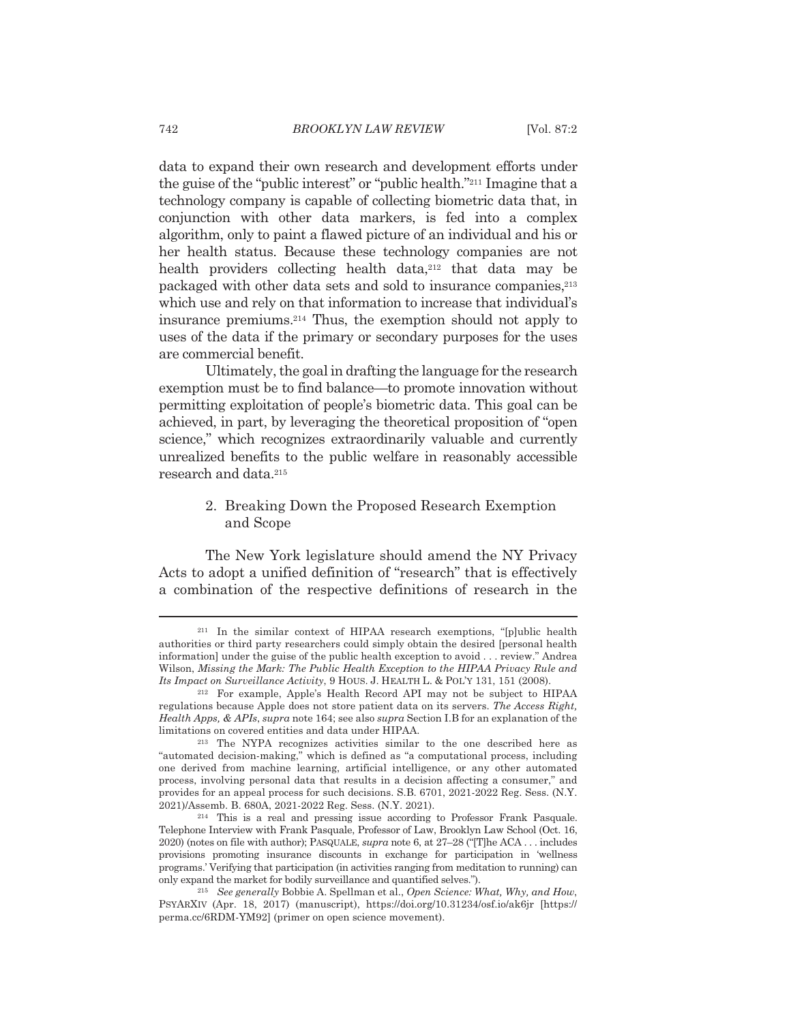data to expand their own research and development efforts under the guise of the "public interest" or "public health."<sup>211</sup> Imagine that a technology company is capable of collecting biometric data that, in conjunction with other data markers, is fed into a complex algorithm, only to paint a flawed picture of an individual and his or her health status. Because these technology companies are not health providers collecting health data,<sup>212</sup> that data may be packaged with other data sets and sold to insurance companies.<sup>213</sup> which use and rely on that information to increase that individual's insurance premiums.<sup>214</sup> Thus, the exemption should not apply to uses of the data if the primary or secondary purposes for the uses are commercial benefit.

Ultimately, the goal in drafting the language for the research exemption must be to find balance—to promote innovation without permitting exploitation of people's biometric data. This goal can be achieved, in part, by leveraging the theoretical proposition of "open" science," which recognizes extraordinarily valuable and currently unrealized benefits to the public welfare in reasonably accessible research and data.<sup>215</sup>

## 2. Breaking Down the Proposed Research Exemption and Scope

The New York legislature should amend the NY Privacy Acts to adopt a unified definition of "research" that is effectively a combination of the respective definitions of research in the

<sup>&</sup>lt;sup>211</sup> In the similar context of HIPAA research exemptions, "[p]ublic health authorities or third party researchers could simply obtain the desired [personal health information under the guise of the public health exception to avoid ... review." Andrea Wilson, Missing the Mark: The Public Health Exception to the HIPAA Privacy Rule and Its Impact on Surveillance Activity, 9 HOUS. J. HEALTH L. & POL'Y 131, 151 (2008).

<sup>&</sup>lt;sup>212</sup> For example, Apple's Health Record API may not be subject to HIPAA regulations because Apple does not store patient data on its servers. The Access Right, Health Apps, & APIs, supra note 164; see also supra Section I.B for an explanation of the limitations on covered entities and data under HIPAA.

<sup>&</sup>lt;sup>213</sup> The NYPA recognizes activities similar to the one described here as "automated decision-making," which is defined as "a computational process, including one derived from machine learning, artificial intelligence, or any other automated process, involving personal data that results in a decision affecting a consumer," and provides for an appeal process for such decisions. S.B. 6701, 2021-2022 Reg. Sess. (N.Y. 2021)/Assemb. B. 680A, 2021-2022 Reg. Sess. (N.Y. 2021).

<sup>&</sup>lt;sup>214</sup> This is a real and pressing issue according to Professor Frank Pasquale. Telephone Interview with Frank Pasquale, Professor of Law, Brooklyn Law School (Oct. 16, 2020) (notes on file with author); PASQUALE, supra note 6, at 27–28 ("The ACA ... includes provisions promoting insurance discounts in exchange for participation in 'wellness programs.' Verifying that participation (in activities ranging from meditation to running) can only expand the market for bodily surveillance and quantified selves.").

<sup>&</sup>lt;sup>215</sup> See generally Bobbie A. Spellman et al., Open Science: What, Why, and How, PSYARXIV (Apr. 18, 2017) (manuscript), https://doi.org/10.31234/osf.io/ak6jr [https:// perma.cc/6RDM-YM92] (primer on open science movement).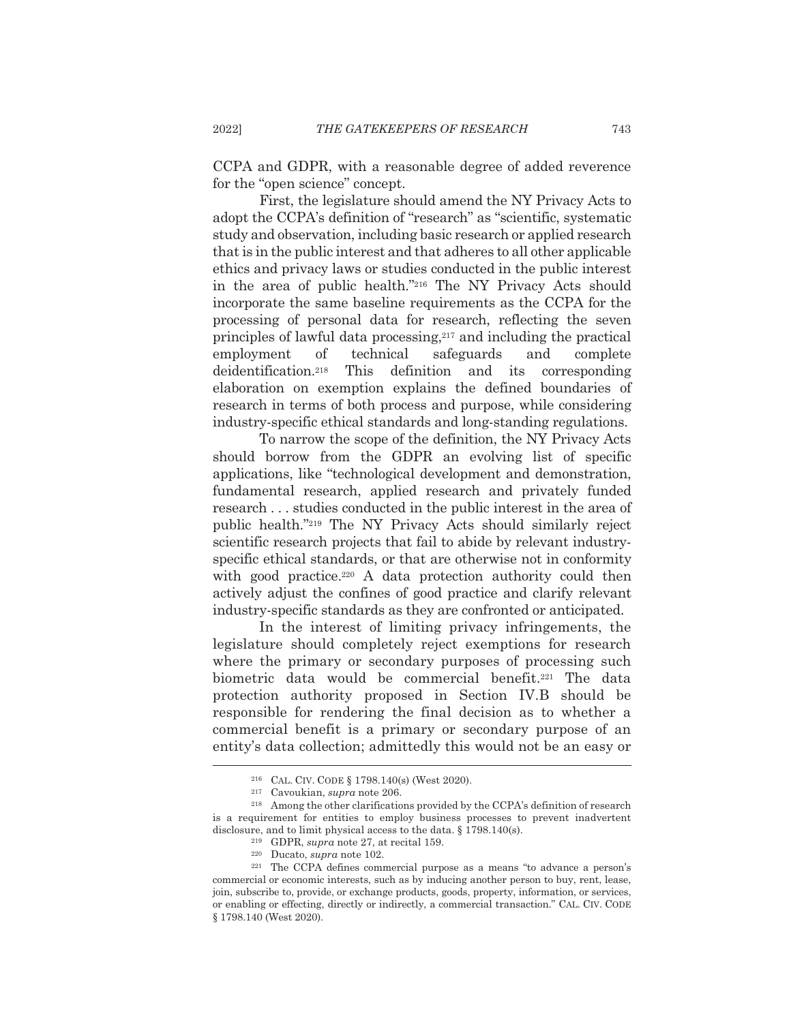CCPA and GDPR, with a reasonable degree of added reverence for the "open science" concept.

First, the legislature should amend the NY Privacy Acts to adopt the CCPA's definition of "research" as "scientific, systematic study and observation, including basic research or applied research that is in the public interest and that adheres to all other applicable ethics and privacy laws or studies conducted in the public interest in the area of public health."216 The NY Privacy Acts should incorporate the same baseline requirements as the CCPA for the processing of personal data for research, reflecting the seven principles of lawful data processing,<sup>217</sup> and including the practical technical safeguards employment <sub>of</sub> and complete  $\rm de identification.^{218}$ This definition and its corresponding elaboration on exemption explains the defined boundaries of research in terms of both process and purpose, while considering industry-specific ethical standards and long-standing regulations.

To narrow the scope of the definition, the NY Privacy Acts should borrow from the GDPR an evolving list of specific applications, like "technological development and demonstration, fundamental research, applied research and privately funded research . . . studies conducted in the public interest in the area of public health."219 The NY Privacy Acts should similarly reject scientific research projects that fail to abide by relevant industryspecific ethical standards, or that are otherwise not in conformity with good practice.<sup>220</sup> A data protection authority could then actively adjust the confines of good practice and clarify relevant industry-specific standards as they are confronted or anticipated.

In the interest of limiting privacy infringements, the legislature should completely reject exemptions for research where the primary or secondary purposes of processing such biometric data would be commercial benefit.<sup>221</sup> The data protection authority proposed in Section IV.B should be responsible for rendering the final decision as to whether a commercial benefit is a primary or secondary purpose of an entity's data collection; admittedly this would not be an easy or

<sup>219</sup> GDPR, *supra* note 27, at recital 159.

<sup>&</sup>lt;sup>216</sup> CAL. CIV. CODE § 1798.140(s) (West 2020).

<sup>&</sup>lt;sup>217</sup> Cavoukian, *supra* note 206.

<sup>&</sup>lt;sup>218</sup> Among the other clarifications provided by the CCPA's definition of research is a requirement for entities to employ business processes to prevent inadvertent disclosure, and to limit physical access to the data.  $\S 1798.140(s)$ .

<sup>&</sup>lt;sup>220</sup> Ducato, *supra* note 102.

<sup>&</sup>lt;sup>221</sup> The CCPA defines commercial purpose as a means "to advance a person's commercial or economic interests, such as by inducing another person to buy, rent, lease, join, subscribe to, provide, or exchange products, goods, property, information, or services, or enabling or effecting, directly or indirectly, a commercial transaction." CAL. CIV. CODE § 1798.140 (West 2020).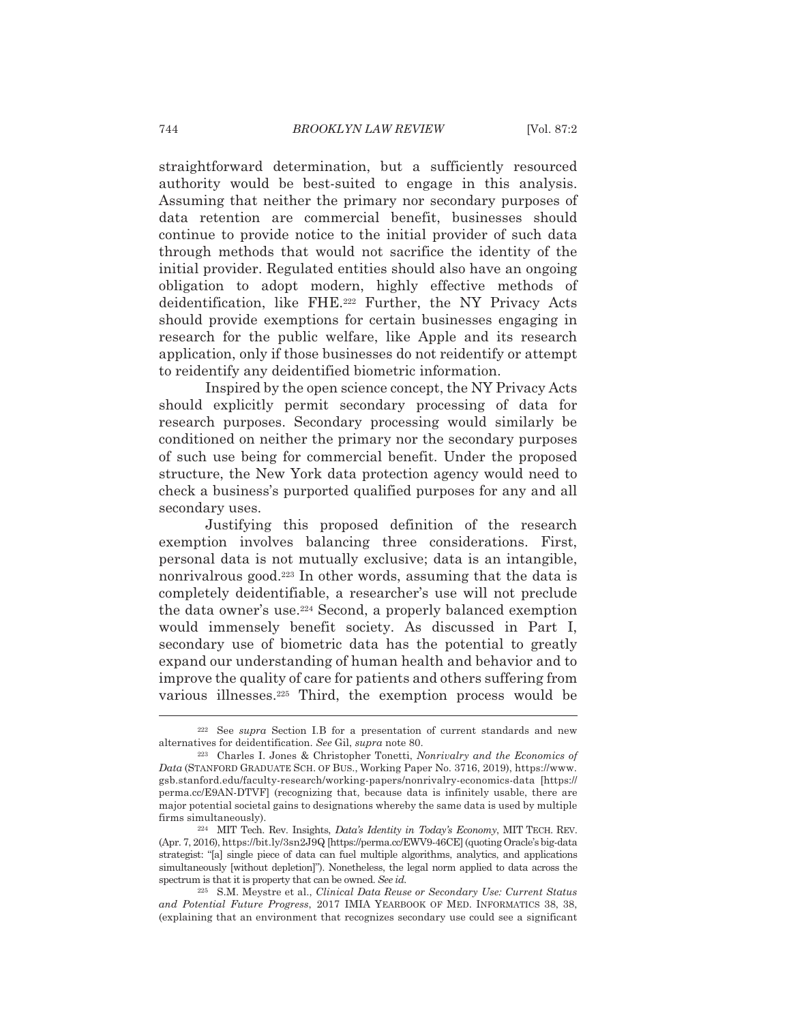straightforward determination, but a sufficiently resourced authority would be best-suited to engage in this analysis. Assuming that neither the primary nor secondary purposes of data retention are commercial benefit, businesses should continue to provide notice to the initial provider of such data through methods that would not sacrifice the identity of the initial provider. Regulated entities should also have an ongoing obligation to adopt modern, highly effective methods of deidentification, like FHE.<sup>222</sup> Further, the NY Privacy Acts should provide exemptions for certain businesses engaging in research for the public welfare, like Apple and its research application, only if those businesses do not reidentify or attempt to reidentify any deidentified biometric information.

Inspired by the open science concept, the NY Privacy Acts should explicitly permit secondary processing of data for research purposes. Secondary processing would similarly be conditioned on neither the primary nor the secondary purposes of such use being for commercial benefit. Under the proposed structure, the New York data protection agency would need to check a business's purported qualified purposes for any and all secondary uses.

Justifying this proposed definition of the research exemption involves balancing three considerations. First, personal data is not mutually exclusive; data is an intangible, nonrivalrous good.<sup>223</sup> In other words, assuming that the data is completely deidentifiable, a researcher's use will not preclude the data owner's use.<sup>224</sup> Second, a properly balanced exemption would immensely benefit society. As discussed in Part I, secondary use of biometric data has the potential to greatly expand our understanding of human health and behavior and to improve the quality of care for patients and others suffering from various illnesses.<sup>225</sup> Third, the exemption process would be

<sup>&</sup>lt;sup>222</sup> See supra Section I.B for a presentation of current standards and new alternatives for deidentification. See Gil, supra note 80.

<sup>&</sup>lt;sup>223</sup> Charles I. Jones & Christopher Tonetti, *Nonrivalry and the Economics of* Data (STANFORD GRADUATE SCH. OF BUS., Working Paper No. 3716, 2019), https://www. gsb.stanford.edu/faculty-research/working-papers/nonrivalry-economics-data [https:// perma.cc/E9AN-DTVF| (recognizing that, because data is infinitely usable, there are major potential societal gains to designations whereby the same data is used by multiple firms simultaneously).

<sup>&</sup>lt;sup>224</sup> MIT Tech. Rev. Insights, *Data's Identity in Today's Economy*, MIT TECH. REV. (Apr. 7, 2016), https://bit.ly/3sn2J9Q [https://perma.cc/EWV9-46CE] (quoting Oracle's big-data strategist: "[a] single piece of data can fuel multiple algorithms, analytics, and applications simultaneously [without depletion]"). Nonetheless, the legal norm applied to data across the spectrum is that it is property that can be owned. See id.

<sup>225</sup> S.M. Meystre et al., Clinical Data Reuse or Secondary Use: Current Status and Potential Future Progress, 2017 IMIA YEARBOOK OF MED. INFORMATICS 38, 38, (explaining that an environment that recognizes secondary use could see a significant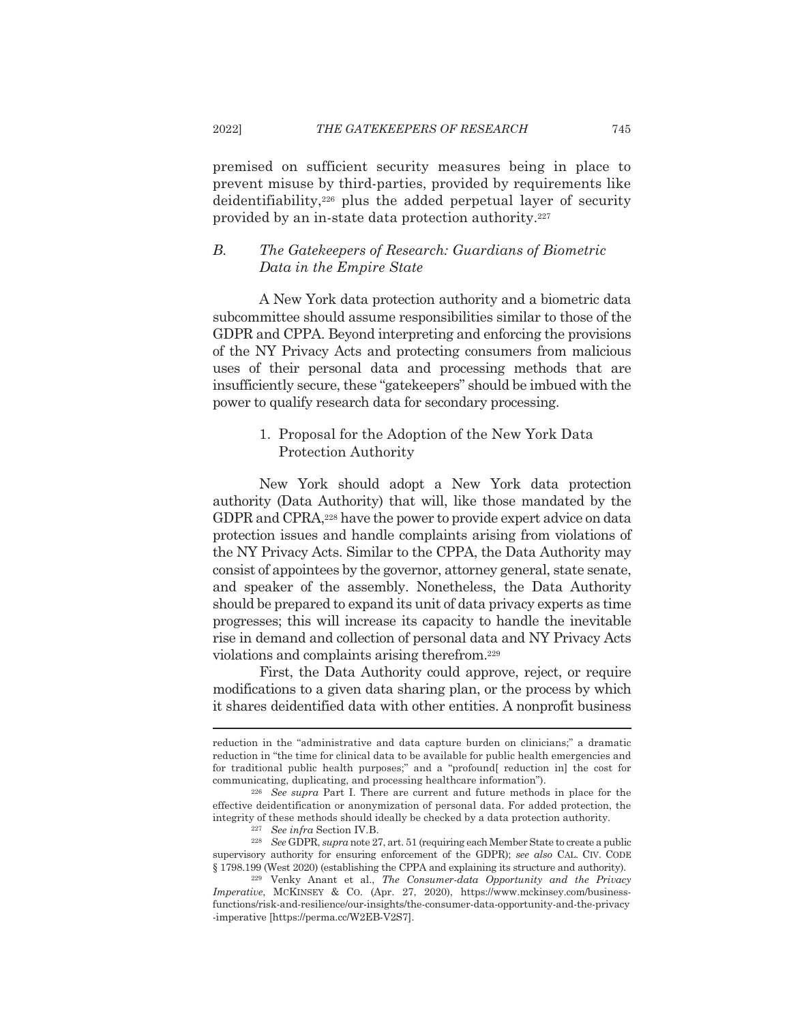premised on sufficient security measures being in place to prevent misuse by third-parties, provided by requirements like deidentifiability,<sup>226</sup> plus the added perpetual layer of security provided by an in-state data protection authority.<sup>227</sup>

### $\overline{B}$ The Gatekeepers of Research: Guardians of Biometric Data in the Empire State

A New York data protection authority and a biometric data subcommittee should assume responsibilities similar to those of the GDPR and CPPA. Beyond interpreting and enforcing the provisions of the NY Privacy Acts and protecting consumers from malicious uses of their personal data and processing methods that are insufficiently secure, these "gate keepers" should be imbued with the power to qualify research data for secondary processing.

## 1. Proposal for the Adoption of the New York Data **Protection Authority**

New York should adopt a New York data protection authority (Data Authority) that will, like those mandated by the GDPR and CPRA,<sup>228</sup> have the power to provide expert advice on data protection issues and handle complaints arising from violations of the NY Privacy Acts. Similar to the CPPA, the Data Authority may consist of appointees by the governor, attorney general, state senate, and speaker of the assembly. Nonetheless, the Data Authority should be prepared to expand its unit of data privacy experts as time progresses; this will increase its capacity to handle the inevitable rise in demand and collection of personal data and NY Privacy Acts violations and complaints arising therefrom.<sup>229</sup>

First, the Data Authority could approve, reject, or require modifications to a given data sharing plan, or the process by which it shares deidentified data with other entities. A nonprofit business

<sup>227</sup> See infra Section IV.B.

reduction in the "administrative and data capture burden on clinicians;" a dramatic reduction in "the time for clinical data to be available for public health emergencies and for traditional public health purposes;" and a "profound[ reduction in] the cost for communicating, duplicating, and processing healthcare information").

<sup>&</sup>lt;sup>226</sup> See supra Part I. There are current and future methods in place for the effective deidentification or anonymization of personal data. For added protection, the integrity of these methods should ideally be checked by a data protection authority.

<sup>&</sup>lt;sup>228</sup> See GDPR, supra note 27, art. 51 (requiring each Member State to create a public supervisory authority for ensuring enforcement of the GDPR); see also CAL. CIV. CODE § 1798.199 (West 2020) (establishing the CPPA and explaining its structure and authority).

<sup>&</sup>lt;sup>229</sup> Venky Anant et al., The Consumer-data Opportunity and the Privacy Imperative, MCKINSEY & CO. (Apr. 27, 2020), https://www.mckinsey.com/businessfunctions/risk-and-resilience/our-insights/the-consumer-data-opportunity-and-the-privacy -imperative [https://perma.cc/W2EB-V2S7].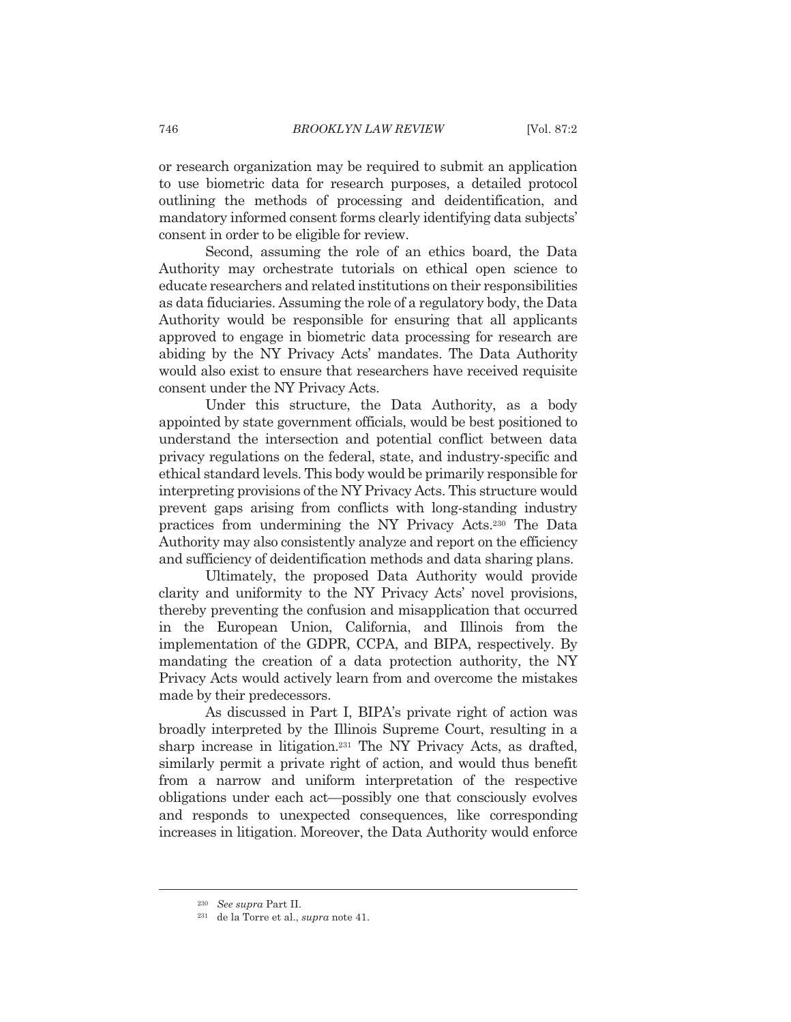or research organization may be required to submit an application to use biometric data for research purposes, a detailed protocol outlining the methods of processing and deidentification, and mandatory informed consent forms clearly identifying data subjects' consent in order to be eligible for review.

Second, assuming the role of an ethics board, the Data Authority may orchestrate tutorials on ethical open science to educate researchers and related institutions on their responsibilities as data fiduciaries. Assuming the role of a regulatory body, the Data Authority would be responsible for ensuring that all applicants approved to engage in biometric data processing for research are abiding by the NY Privacy Acts' mandates. The Data Authority would also exist to ensure that researchers have received requisite consent under the NY Privacy Acts.

Under this structure, the Data Authority, as a body appointed by state government officials, would be best positioned to understand the intersection and potential conflict between data privacy regulations on the federal, state, and industry-specific and ethical standard levels. This body would be primarily responsible for interpreting provisions of the NY Privacy Acts. This structure would prevent gaps arising from conflicts with long-standing industry practices from undermining the NY Privacy Acts.<sup>230</sup> The Data Authority may also consistently analyze and report on the efficiency and sufficiency of deidentification methods and data sharing plans.

Ultimately, the proposed Data Authority would provide clarity and uniformity to the NY Privacy Acts' novel provisions, thereby preventing the confusion and misapplication that occurred in the European Union, California, and Illinois from the implementation of the GDPR, CCPA, and BIPA, respectively. By mandating the creation of a data protection authority, the NY Privacy Acts would actively learn from and overcome the mistakes made by their predecessors.

As discussed in Part I, BIPA's private right of action was broadly interpreted by the Illinois Supreme Court, resulting in a sharp increase in litigation.<sup>231</sup> The NY Privacy Acts, as drafted, similarly permit a private right of action, and would thus benefit from a narrow and uniform interpretation of the respective obligations under each act—possibly one that consciously evolves and responds to unexpected consequences, like corresponding increases in litigation. Moreover, the Data Authority would enforce

 $230$  See supra Part II.

<sup>&</sup>lt;sup>231</sup> de la Torre et al., *supra* note 41.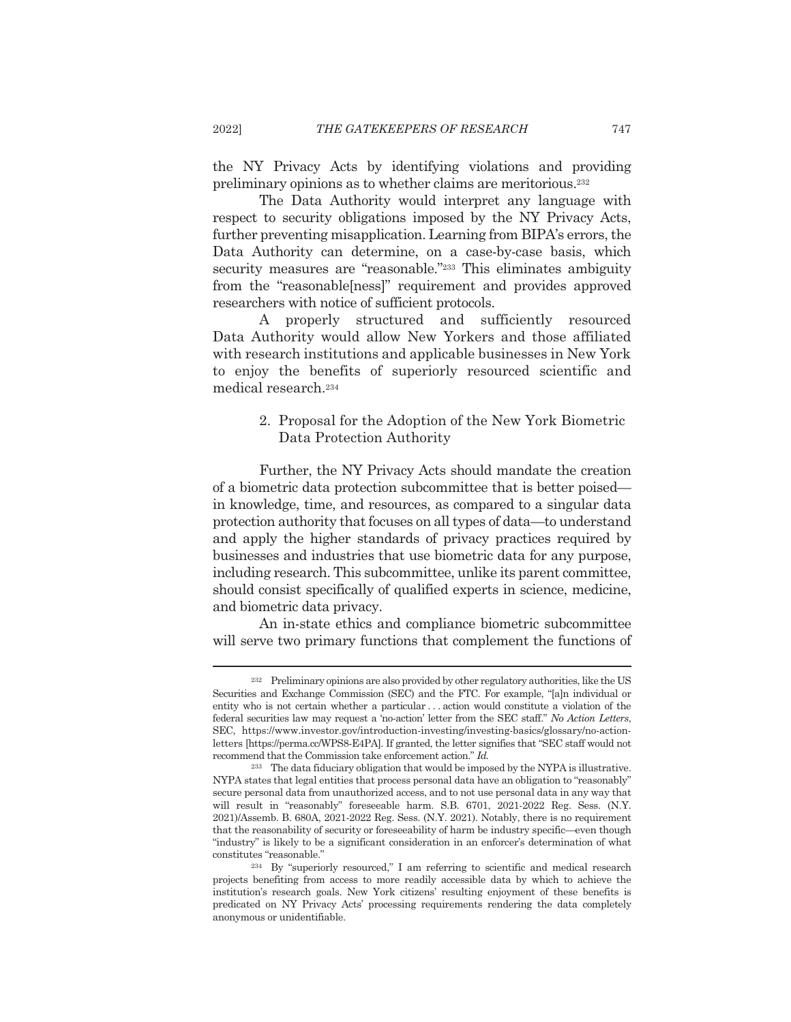the NY Privacy Acts by identifying violations and providing preliminary opinions as to whether claims are meritorious.<sup>232</sup>

The Data Authority would interpret any language with respect to security obligations imposed by the NY Privacy Acts. further preventing misapplication. Learning from BIPA's errors, the Data Authority can determine, on a case-by-case basis, which security measures are "reasonable."<sup>233</sup> This eliminates ambiguity from the "reasonable[ness]" requirement and provides approved researchers with notice of sufficient protocols.

A properly structured and sufficiently resourced Data Authority would allow New Yorkers and those affiliated with research institutions and applicable businesses in New York to enjoy the benefits of superiorly resourced scientific and medical research.<sup>234</sup>

## 2. Proposal for the Adoption of the New York Biometric Data Protection Authority

Further, the NY Privacy Acts should mandate the creation of a biometric data protection subcommittee that is better poisedin knowledge, time, and resources, as compared to a singular data protection authority that focuses on all types of data—to understand and apply the higher standards of privacy practices required by businesses and industries that use biometric data for any purpose, including research. This subcommittee, unlike its parent committee, should consist specifically of qualified experts in science, medicine, and biometric data privacy.

An in-state ethics and compliance biometric subcommittee will serve two primary functions that complement the functions of

2022]

<sup>&</sup>lt;sup>232</sup> Preliminary opinions are also provided by other regulatory authorities, like the US Securities and Exchange Commission (SEC) and the FTC. For example, "[a]n individual or entity who is not certain whether a particular...action would constitute a violation of the federal securities law may request a 'no-action' letter from the SEC staff." No Action Letters, SEC, https://www.investor.gov/introduction-investing/investing-basics/glossary/no-actionletters [https://perma.cc/WPS8-E4PA]. If granted, the letter signifies that "SEC staff would not recommend that the Commission take enforcement action." Id.

<sup>&</sup>lt;sup>233</sup> The data fiduciary obligation that would be imposed by the NYPA is illustrative. NYPA states that legal entities that process personal data have an obligation to "reasonably" secure personal data from unauthorized access, and to not use personal data in any way that will result in "reasonably" foreseeable harm. S.B. 6701, 2021-2022 Reg. Sess. (N.Y. 2021)/Assemb. B. 680A, 2021-2022 Reg. Sess. (N.Y. 2021). Notably, there is no requirement that the reasonability of security or foreseeability of harm be industry specific—even though "industry" is likely to be a significant consideration in an enforcer's determination of what constitutes "reasonable."

<sup>&</sup>lt;sup>234</sup> By "superiorly resourced," I am referring to scientific and medical research projects benefiting from access to more readily accessible data by which to achieve the institution's research goals. New York citizens' resulting enjoyment of these benefits is predicated on NY Privacy Acts' processing requirements rendering the data completely anonymous or unidentifiable.